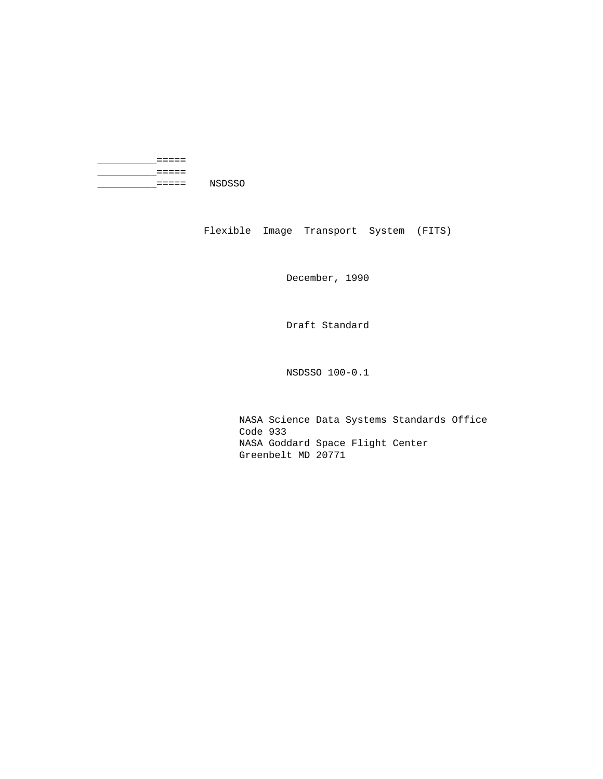| -----<br>------ |
|-----------------|
| -----<br>------ |
| -----<br>_____  |

\_\_\_\_\_\_\_\_\_\_===== NSDSSO

Flexible Image Transport System (FITS)

December, 1990

Draft Standard

NSDSSO 100-0.1

 NASA Science Data Systems Standards Office Code 933 NASA Goddard Space Flight Center Greenbelt MD 20771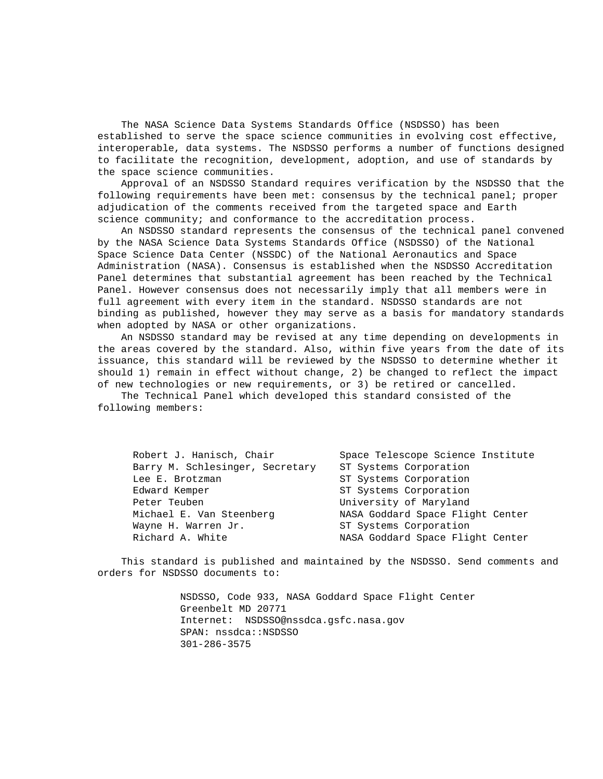The NASA Science Data Systems Standards Office (NSDSSO) has been established to serve the space science communities in evolving cost effective, interoperable, data systems. The NSDSSO performs a number of functions designed to facilitate the recognition, development, adoption, and use of standards by the space science communities.

 Approval of an NSDSSO Standard requires verification by the NSDSSO that the following requirements have been met: consensus by the technical panel; proper adjudication of the comments received from the targeted space and Earth science community; and conformance to the accreditation process.

 An NSDSSO standard represents the consensus of the technical panel convened by the NASA Science Data Systems Standards Office (NSDSSO) of the National Space Science Data Center (NSSDC) of the National Aeronautics and Space Administration (NASA). Consensus is established when the NSDSSO Accreditation Panel determines that substantial agreement has been reached by the Technical Panel. However consensus does not necessarily imply that all members were in full agreement with every item in the standard. NSDSSO standards are not binding as published, however they may serve as a basis for mandatory standards when adopted by NASA or other organizations.

 An NSDSSO standard may be revised at any time depending on developments in the areas covered by the standard. Also, within five years from the date of its issuance, this standard will be reviewed by the NSDSSO to determine whether it should 1) remain in effect without change, 2) be changed to reflect the impact of new technologies or new requirements, or 3) be retired or cancelled.

 The Technical Panel which developed this standard consisted of the following members:

| Robert J. Hanisch, Chair        | Space Telescope Science Institute |
|---------------------------------|-----------------------------------|
| Barry M. Schlesinger, Secretary | ST Systems Corporation            |
| Lee E. Brotzman                 | ST Systems Corporation            |
| Edward Kemper                   | ST Systems Corporation            |
| Peter Teuben                    | University of Maryland            |
| Michael E. Van Steenberg        | NASA Goddard Space Flight Center  |
| Wayne H. Warren Jr.             | ST Systems Corporation            |
| Richard A. White                | NASA Goddard Space Flight Center  |

 This standard is published and maintained by the NSDSSO. Send comments and orders for NSDSSO documents to:

> NSDSSO, Code 933, NASA Goddard Space Flight Center Greenbelt MD 20771 Internet: NSDSSO@nssdca.gsfc.nasa.gov SPAN: nssdca::NSDSSO 301-286-3575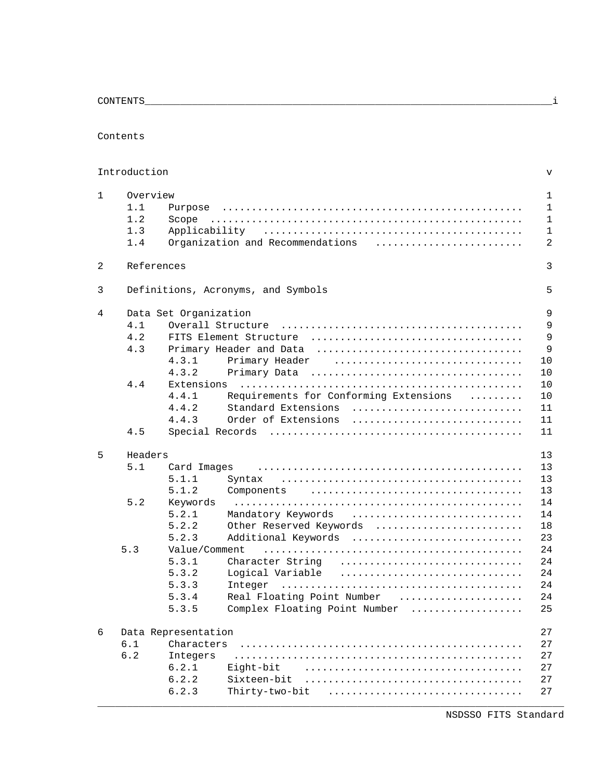CONTENTS\_\_\_\_\_\_\_\_\_\_\_\_\_\_\_\_\_\_\_\_\_\_\_\_\_\_\_\_\_\_\_\_\_\_\_\_\_\_\_\_\_\_\_\_\_\_\_\_\_\_\_\_\_\_\_\_\_\_\_\_\_\_\_\_\_\_\_\_\_i

Contents

|   | Introduction                         |                                                                                                       |                                                                                                                                                                  | $\mathbf v$                                          |  |  |
|---|--------------------------------------|-------------------------------------------------------------------------------------------------------|------------------------------------------------------------------------------------------------------------------------------------------------------------------|------------------------------------------------------|--|--|
| 1 | Overview<br>1.1<br>1.2<br>1.3<br>1.4 | Purpose<br>Scope<br>Applicability                                                                     | Organization and Recommendations                                                                                                                                 | 1<br>1<br>1<br>1<br>2                                |  |  |
| 2 | References<br>3                      |                                                                                                       |                                                                                                                                                                  |                                                      |  |  |
| 3 |                                      |                                                                                                       | Definitions, Acronyms, and Symbols                                                                                                                               | 5                                                    |  |  |
| 4 | 4.1<br>4.2<br>4.3<br>4.4             | Data Set Organization<br>Overall Structure<br>4.3.1<br>4.3.2<br>Extensions<br>4.4.1<br>4.4.2<br>4.4.3 | FITS Element Structure<br>Primary Header and Data<br>Primary Header<br>Requirements for Conforming Extensions<br>.<br>Standard Extensions<br>Order of Extensions | 9<br>9<br>9<br>9<br>10<br>10<br>10<br>10<br>11<br>11 |  |  |
|   | 4.5                                  |                                                                                                       |                                                                                                                                                                  | 11                                                   |  |  |
| 5 | Headers                              |                                                                                                       |                                                                                                                                                                  | 13                                                   |  |  |
|   | 5.1                                  | Card Images<br>5.1.1<br>5.1.2                                                                         | Syntax<br>Components                                                                                                                                             | 13<br>13<br>13                                       |  |  |
|   | 5.2                                  | Keywords<br>5.2.1<br>5.2.2<br>5.2.3                                                                   | Mandatory Keywords<br>Other Reserved Keywords<br>Additional Keywords                                                                                             | 14<br>14<br>18<br>23                                 |  |  |
|   | 5.3                                  | Value/Comment<br>5.3.1<br>5.3.2<br>5.3.3<br>5.3.4<br>5.3.5                                            | Character String<br>Logical Variable<br>Integer<br>Real Floating Point Number<br>Complex Floating Point Number                                                   | 24<br>24<br>24<br>24<br>24<br>25                     |  |  |
| 6 | 6.1<br>6.2                           | Data Representation<br>Characters<br>Integers<br>6.2.1<br>6.2.2<br>6.2.3                              | Eight-bit<br>Sixteen-bit<br>Thirty-two-bit                                                                                                                       | 27<br>27<br>27<br>27<br>27<br>27                     |  |  |

NSDSSO FITS Standard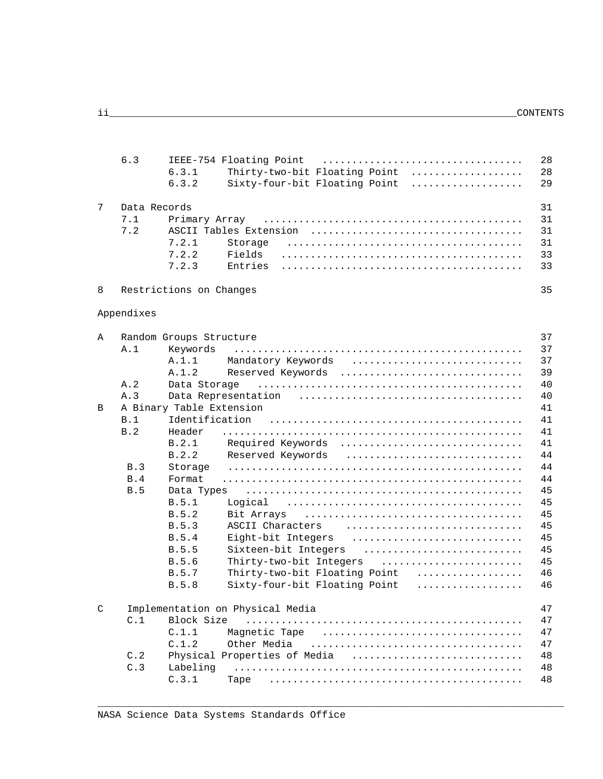|   | 6.3          | 6.3.1                    | IEEE-754 Floating Point<br>Thirty-two-bit Floating Point | 28<br>28 |
|---|--------------|--------------------------|----------------------------------------------------------|----------|
|   |              | 6.3.2                    | Sixty-four-bit Floating Point<br>.                       | 29       |
| 7 | Data Records |                          |                                                          | 31       |
|   | 7.1          | Primary Array            |                                                          | 31       |
|   | 7.2          |                          | ASCII Tables Extension                                   | 31       |
|   |              | 7.2.1                    | Storage                                                  | 31       |
|   |              | 7.2.2                    | Fields                                                   | 33       |
|   |              | 7.2.3                    | Entries                                                  | 33       |
|   |              |                          |                                                          |          |
| 8 |              | Restrictions on Changes  |                                                          | 35       |
|   | Appendixes   |                          |                                                          |          |
|   |              |                          |                                                          |          |
| Α |              | Random Groups Structure  |                                                          | 37       |
|   | A.1          | Keywords                 |                                                          | 37       |
|   |              | A.1.1                    | Mandatory Keywords                                       | 37       |
|   |              | A.1.2                    | Reserved Keywords                                        | 39       |
|   | A.2          | Data Storage             |                                                          | 40       |
|   | A.3          |                          |                                                          | 40       |
| B |              | A Binary Table Extension |                                                          | 41       |
|   | B.1          | Identification           |                                                          | 41       |
|   | B.2          | Header                   |                                                          | 41       |
|   |              | B.2.1                    | Required Keywords                                        | 41       |
|   |              | B.2.2                    | Reserved Keywords                                        | 44       |
|   | B.3          | Storage                  |                                                          | 44       |
|   | <b>B.4</b>   | Format                   |                                                          | 44       |
|   | <b>B.5</b>   | Data Types               |                                                          | 45       |
|   |              | B.5.1                    | Logical                                                  | 45       |
|   |              | B.5.2                    | Bit Arrays                                               | 45       |
|   |              | B.5.3                    | ASCII Characters                                         | 45       |
|   |              | B.5.4                    | Eight-bit Integers                                       | 45       |
|   |              | B.5.5                    | Sixteen-bit Integers                                     | 45       |
|   |              |                          |                                                          | 45       |
|   |              | B.5.6                    | Thirty-two-bit Integers                                  |          |
|   |              | B.5.7                    | Thirty-two-bit Floating Point                            | 46       |
|   |              | <b>B.5.8</b>             | Sixty-four-bit Floating Point<br>.                       | 46       |
| C |              |                          | Implementation on Physical Media                         | 47       |
|   | C.1          | Block Size               |                                                          | 47       |
|   |              | C.1.1                    | Magnetic Tape                                            | 47       |
|   |              | C.1.2                    | Other Media                                              | 47       |
|   | C.2          |                          | Physical Properties of Media                             | 48       |
|   | C.3          | Labeling                 |                                                          | 48       |
|   |              | C.3.1                    |                                                          | 48       |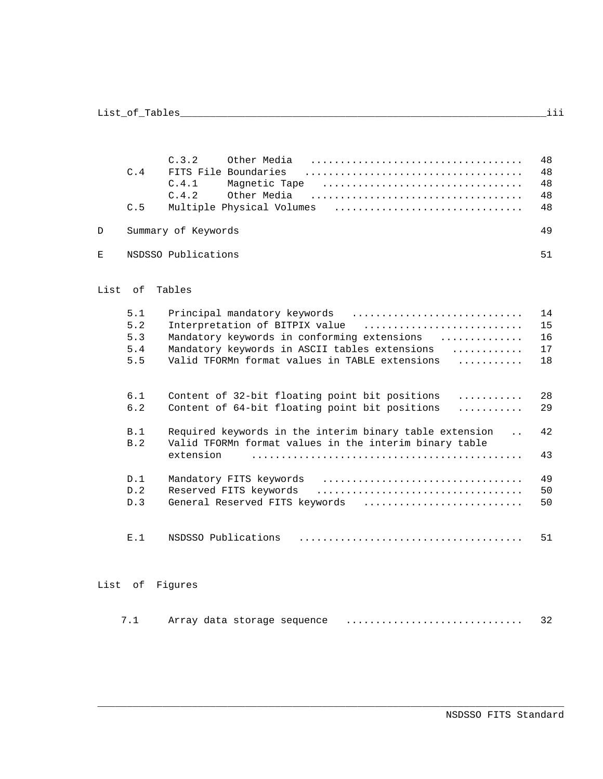|    | C.4<br>C.5 |                     | C.3.2 Other Media<br>FITS File Boundaries<br>Multiple Physical Volumes (and the contract of the contract of the Multiple Physical Volumes | 48<br>48<br>48<br>48<br>48 |
|----|------------|---------------------|-------------------------------------------------------------------------------------------------------------------------------------------|----------------------------|
| D. |            | Summary of Keywords |                                                                                                                                           | 49                         |
| F. |            | NSDSSO Publications |                                                                                                                                           | 51                         |

# List of Tables

| 5.1 | Principal mandatory keywords                                            | 14 |
|-----|-------------------------------------------------------------------------|----|
| 5.2 | Interpretation of BITPIX value                                          | 15 |
| 5.3 | Mandatory keywords in conforming extensions<br>.                        | 16 |
| 5.4 | Mandatory keywords in ASCII tables extensions<br>.                      | 17 |
| 5.5 | Valid TFORMn format values in TABLE extensions<br>.                     | 18 |
| 6.1 | Content of 32-bit floating point bit positions<br>.                     | 28 |
| 6.2 | Content of 64-bit floating point bit positions<br>a a a a a a a a a a a | 29 |
|     |                                                                         |    |
| B.1 | Required keywords in the interim binary table extension                 | 42 |
| B.2 | Valid TFORMn format values in the interim binary table                  |    |
|     | extension                                                               | 43 |
| D.1 | Mandatory FITS keywords                                                 | 49 |
| D.2 | Reserved FITS keywords                                                  | 50 |
| D.3 | General Reserved FITS keywords                                          | 50 |
|     |                                                                         |    |
| E.1 | NSDSSO Publications                                                     | 51 |

List of Figures

|  | Array data storage sequence | 32 |
|--|-----------------------------|----|
|--|-----------------------------|----|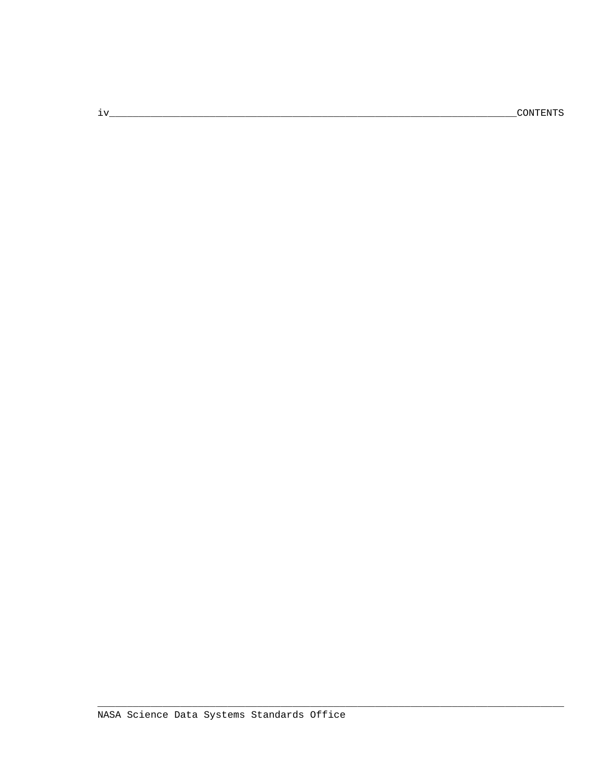$\underbrace{\texttt{iv}\_\_\_\_\_C\texttt{CONTENTS}}$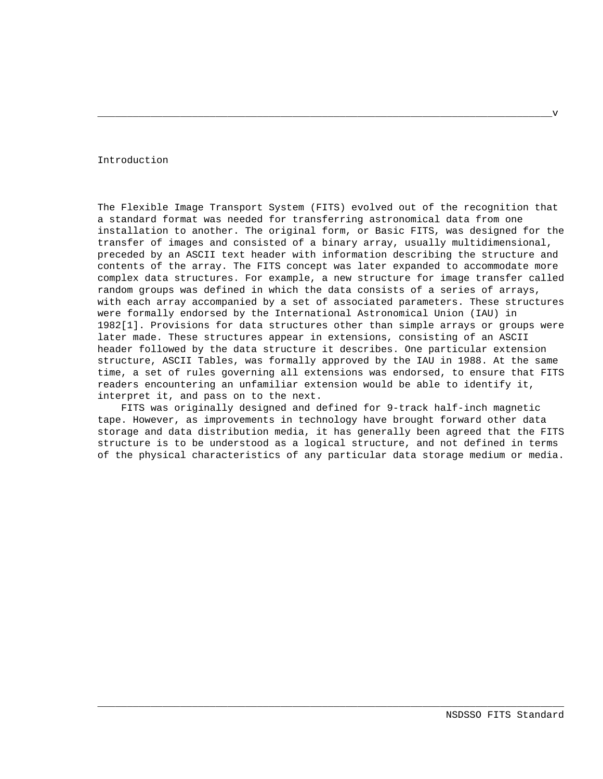# Introduction

The Flexible Image Transport System (FITS) evolved out of the recognition that a standard format was needed for transferring astronomical data from one installation to another. The original form, or Basic FITS, was designed for the transfer of images and consisted of a binary array, usually multidimensional, preceded by an ASCII text header with information describing the structure and contents of the array. The FITS concept was later expanded to accommodate more complex data structures. For example, a new structure for image transfer called random groups was defined in which the data consists of a series of arrays, with each array accompanied by a set of associated parameters. These structures were formally endorsed by the International Astronomical Union (IAU) in 1982[1]. Provisions for data structures other than simple arrays or groups were later made. These structures appear in extensions, consisting of an ASCII header followed by the data structure it describes. One particular extension structure, ASCII Tables, was formally approved by the IAU in 1988. At the same time, a set of rules governing all extensions was endorsed, to ensure that FITS readers encountering an unfamiliar extension would be able to identify it, interpret it, and pass on to the next.

 $_{\rm v}$  ,  $_{\rm v}$  ,  $_{\rm v}$  ,  $_{\rm v}$  ,  $_{\rm v}$  ,  $_{\rm v}$  ,  $_{\rm v}$  ,  $_{\rm v}$  ,  $_{\rm v}$  ,  $_{\rm v}$  ,  $_{\rm v}$  ,  $_{\rm v}$  ,  $_{\rm v}$  ,  $_{\rm v}$  ,  $_{\rm v}$  ,  $_{\rm v}$  ,  $_{\rm v}$  ,  $_{\rm v}$  ,  $_{\rm v}$  ,  $_{\rm v}$  ,  $_{\rm v}$  ,  $_{\rm v}$  ,

 FITS was originally designed and defined for 9-track half-inch magnetic tape. However, as improvements in technology have brought forward other data storage and data distribution media, it has generally been agreed that the FITS structure is to be understood as a logical structure, and not defined in terms of the physical characteristics of any particular data storage medium or media.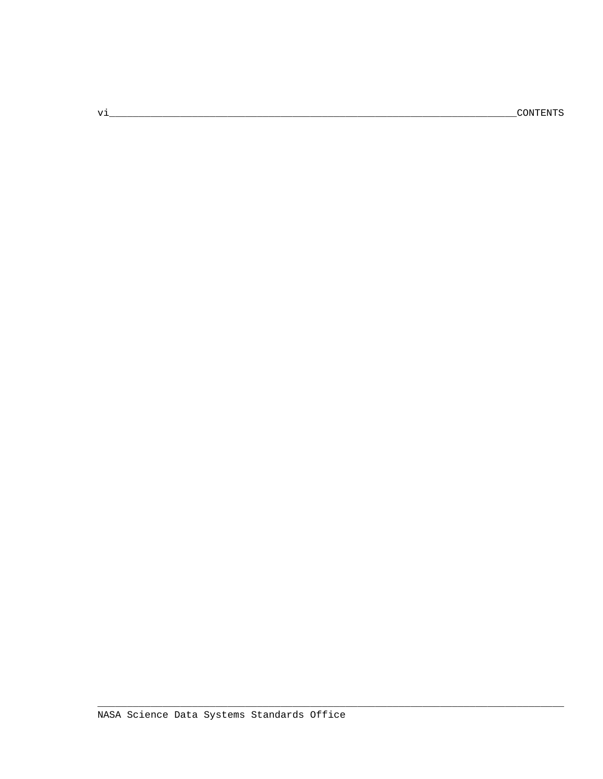${\tt vi}\_\_\_\_C\!ONTERTS$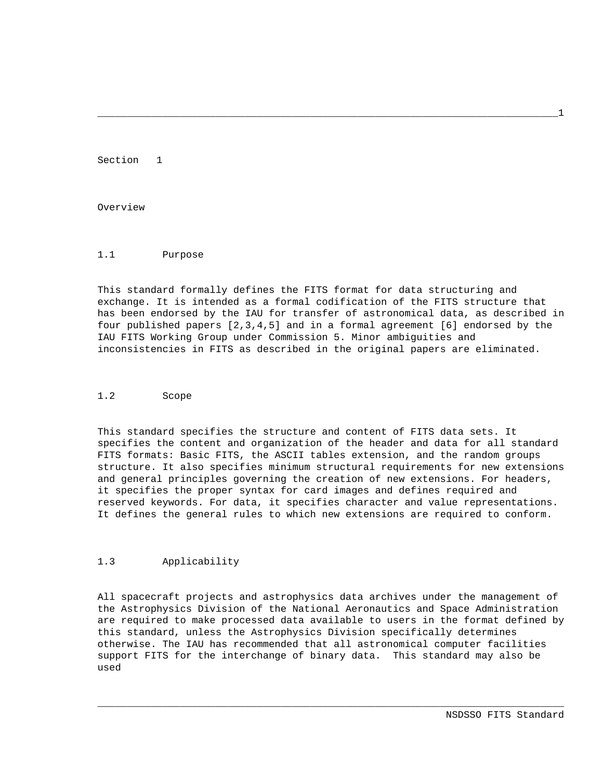Section 1

Overview

1.1 Purpose

This standard formally defines the FITS format for data structuring and exchange. It is intended as a formal codification of the FITS structure that has been endorsed by the IAU for transfer of astronomical data, as described in four published papers [2,3,4,5] and in a formal agreement [6] endorsed by the IAU FITS Working Group under Commission 5. Minor ambiguities and inconsistencies in FITS as described in the original papers are eliminated.

## 1.2 Scope

This standard specifies the structure and content of FITS data sets. It specifies the content and organization of the header and data for all standard FITS formats: Basic FITS, the ASCII tables extension, and the random groups structure. It also specifies minimum structural requirements for new extensions and general principles governing the creation of new extensions. For headers, it specifies the proper syntax for card images and defines required and reserved keywords. For data, it specifies character and value representations. It defines the general rules to which new extensions are required to conform.

# 1.3 Applicability

All spacecraft projects and astrophysics data archives under the management of the Astrophysics Division of the National Aeronautics and Space Administration are required to make processed data available to users in the format defined by this standard, unless the Astrophysics Division specifically determines otherwise. The IAU has recommended that all astronomical computer facilities support FITS for the interchange of binary data. This standard may also be used

 $\_$  , and the set of the set of the set of the set of the set of the set of the set of the set of the set of the set of the set of the set of the set of the set of the set of the set of the set of the set of the set of th

\_\_\_\_\_\_\_\_\_\_\_\_\_\_\_\_\_\_\_\_\_\_\_\_\_\_\_\_\_\_\_\_\_\_\_\_\_\_\_\_\_\_\_\_\_\_\_\_\_\_\_\_\_\_\_\_\_\_\_\_\_\_\_\_\_\_\_\_\_\_\_\_\_\_\_\_\_\_1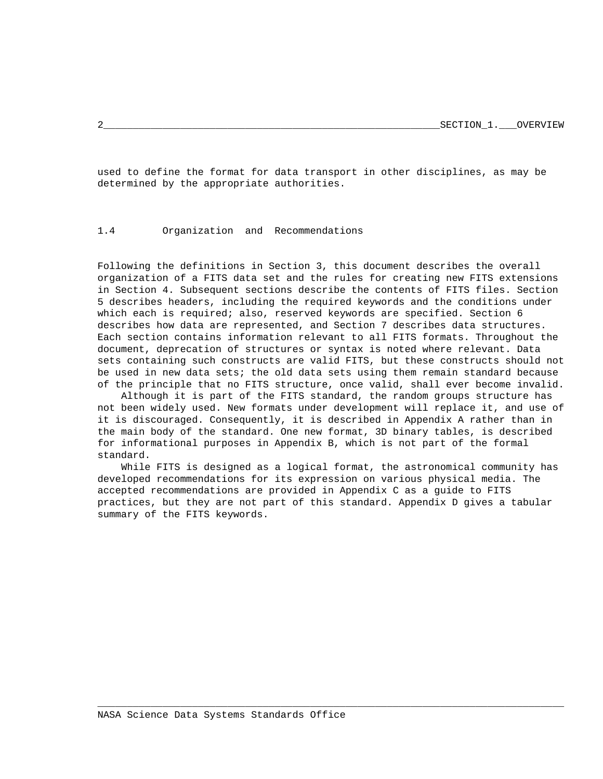used to define the format for data transport in other disciplines, as may be determined by the appropriate authorities.

1.4 Organization and Recommendations

Following the definitions in Section 3, this document describes the overall organization of a FITS data set and the rules for creating new FITS extensions in Section 4. Subsequent sections describe the contents of FITS files. Section 5 describes headers, including the required keywords and the conditions under which each is required; also, reserved keywords are specified. Section 6 describes how data are represented, and Section 7 describes data structures. Each section contains information relevant to all FITS formats. Throughout the document, deprecation of structures or syntax is noted where relevant. Data sets containing such constructs are valid FITS, but these constructs should not be used in new data sets; the old data sets using them remain standard because of the principle that no FITS structure, once valid, shall ever become invalid.

 Although it is part of the FITS standard, the random groups structure has not been widely used. New formats under development will replace it, and use of it is discouraged. Consequently, it is described in Appendix A rather than in the main body of the standard. One new format, 3D binary tables, is described for informational purposes in Appendix B, which is not part of the formal standard.

 While FITS is designed as a logical format, the astronomical community has developed recommendations for its expression on various physical media. The accepted recommendations are provided in Appendix C as a guide to FITS practices, but they are not part of this standard. Appendix D gives a tabular summary of the FITS keywords.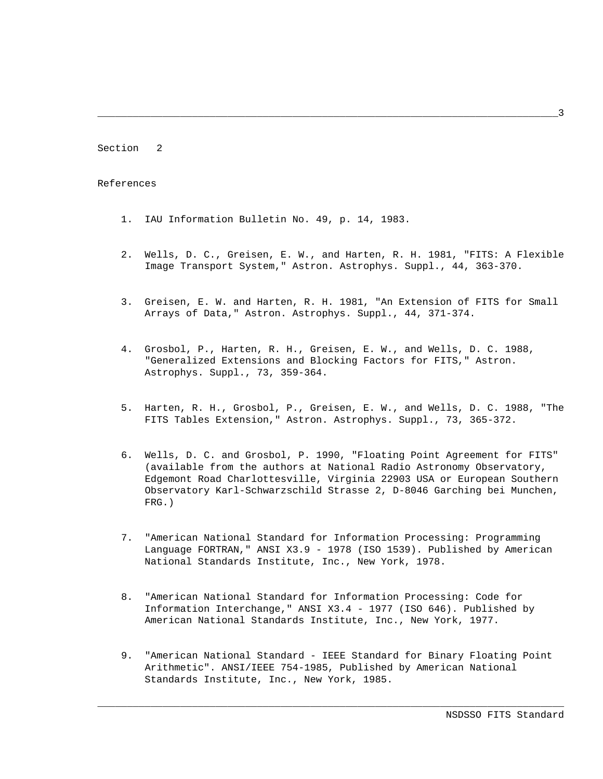Section 2

#### References

- 1. IAU Information Bulletin No. 49, p. 14, 1983.
- 2. Wells, D. C., Greisen, E. W., and Harten, R. H. 1981, "FITS: A Flexible Image Transport System," Astron. Astrophys. Suppl., 44, 363-370.
- 3. Greisen, E. W. and Harten, R. H. 1981, "An Extension of FITS for Small Arrays of Data," Astron. Astrophys. Suppl., 44, 371-374.
- 4. Grosbol, P., Harten, R. H., Greisen, E. W., and Wells, D. C. 1988, "Generalized Extensions and Blocking Factors for FITS," Astron. Astrophys. Suppl., 73, 359-364.
- 5. Harten, R. H., Grosbol, P., Greisen, E. W., and Wells, D. C. 1988, "The FITS Tables Extension," Astron. Astrophys. Suppl., 73, 365-372.
- 6. Wells, D. C. and Grosbol, P. 1990, "Floating Point Agreement for FITS" (available from the authors at National Radio Astronomy Observatory, Edgemont Road Charlottesville, Virginia 22903 USA or European Southern Observatory Karl-Schwarzschild Strasse 2, D-8046 Garching bei Munchen, FRG.)
- 7. "American National Standard for Information Processing: Programming Language FORTRAN," ANSI X3.9 - 1978 (ISO 1539). Published by American National Standards Institute, Inc., New York, 1978.
- 8. "American National Standard for Information Processing: Code for Information Interchange," ANSI X3.4 - 1977 (ISO 646). Published by American National Standards Institute, Inc., New York, 1977.
- 9. "American National Standard IEEE Standard for Binary Floating Point Arithmetic". ANSI/IEEE 754-1985, Published by American National Standards Institute, Inc., New York, 1985.

 $\_$  , and the set of the set of the set of the set of the set of the set of the set of the set of the set of the set of the set of the set of the set of the set of the set of the set of the set of the set of the set of th

\_\_\_\_\_\_\_\_\_\_\_\_\_\_\_\_\_\_\_\_\_\_\_\_\_\_\_\_\_\_\_\_\_\_\_\_\_\_\_\_\_\_\_\_\_\_\_\_\_\_\_\_\_\_\_\_\_\_\_\_\_\_\_\_\_\_\_\_\_\_\_\_\_\_\_\_\_\_3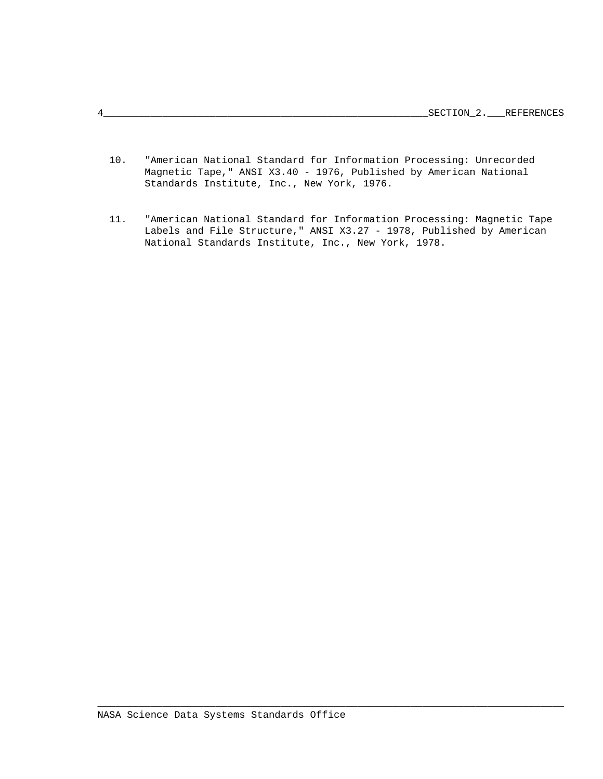- 10. "American National Standard for Information Processing: Unrecorded Magnetic Tape," ANSI X3.40 - 1976, Published by American National Standards Institute, Inc., New York, 1976.
- 11. "American National Standard for Information Processing: Magnetic Tape Labels and File Structure," ANSI X3.27 - 1978, Published by American National Standards Institute, Inc., New York, 1978.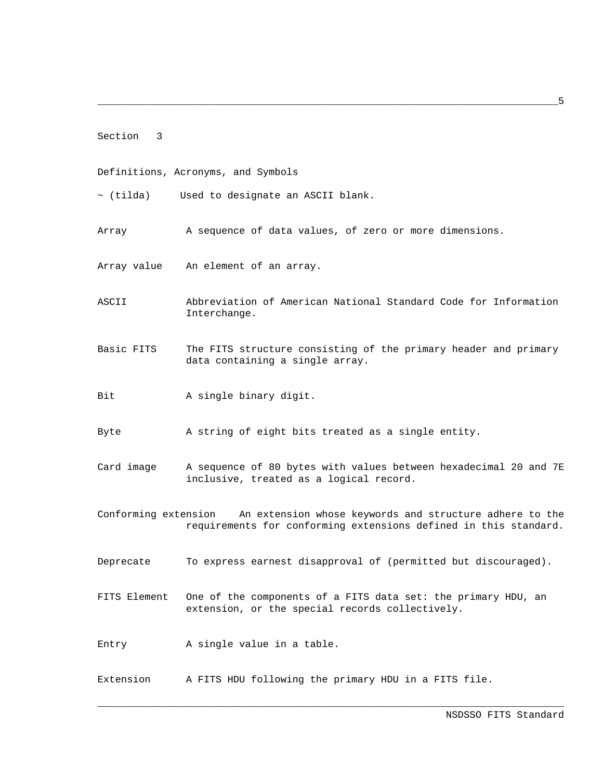Section 3

Definitions, Acronyms, and Symbols

~ (tilda) Used to designate an ASCII blank.

Array A sequence of data values, of zero or more dimensions.

Array value An element of an array.

- ASCII Abbreviation of American National Standard Code for Information Interchange.
- Basic FITS The FITS structure consisting of the primary header and primary data containing a single array.
- Bit A single binary digit.
- Byte A string of eight bits treated as a single entity.
- Card image A sequence of 80 bytes with values between hexadecimal 20 and 7E inclusive, treated as a logical record.
- Conforming extension An extension whose keywords and structure adhere to the requirements for conforming extensions defined in this standard.
- Deprecate To express earnest disapproval of (permitted but discouraged).
- FITS Element One of the components of a FITS data set: the primary HDU, an extension, or the special records collectively.

 $\_$  , and the set of the set of the set of the set of the set of the set of the set of the set of the set of the set of the set of the set of the set of the set of the set of the set of the set of the set of the set of th

Entry A single value in a table.

Extension A FITS HDU following the primary HDU in a FITS file.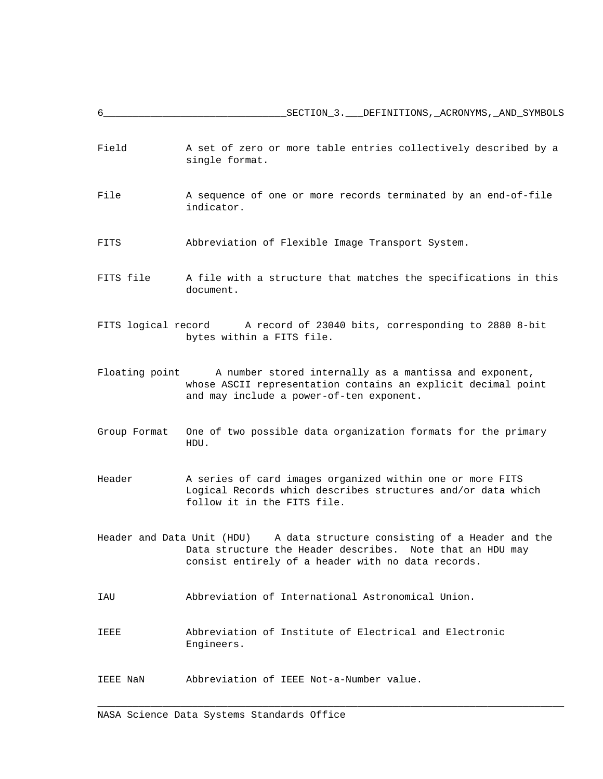| Field        | A set of zero or more table entries collectively described by a<br>single format.                                                                                                             |
|--------------|-----------------------------------------------------------------------------------------------------------------------------------------------------------------------------------------------|
| File         | A sequence of one or more records terminated by an end-of-file<br>indicator.                                                                                                                  |
| FITS         | Abbreviation of Flexible Image Transport System.                                                                                                                                              |
| FITS file    | A file with a structure that matches the specifications in this<br>document.                                                                                                                  |
|              | FITS logical record A record of 23040 bits, corresponding to 2880 8-bit<br>bytes within a FITS file.                                                                                          |
|              | Floating point A number stored internally as a mantissa and exponent,<br>whose ASCII representation contains an explicit decimal point<br>and may include a power-of-ten exponent.            |
| Group Format | One of two possible data organization formats for the primary<br>HDU.                                                                                                                         |
| Header       | A series of card images organized within one or more FITS<br>Logical Records which describes structures and/or data which<br>follow it in the FITS file.                                      |
|              | Header and Data Unit (HDU) A data structure consisting of a Header and the<br>Data structure the Header describes. Note that an HDU may<br>consist entirely of a header with no data records. |
| IAU          | Abbreviation of International Astronomical Union.                                                                                                                                             |
| IEEE         | Abbreviation of Institute of Electrical and Electronic<br>Engineers.                                                                                                                          |
| IEEE NaN     | Abbreviation of IEEE Not-a-Number value.                                                                                                                                                      |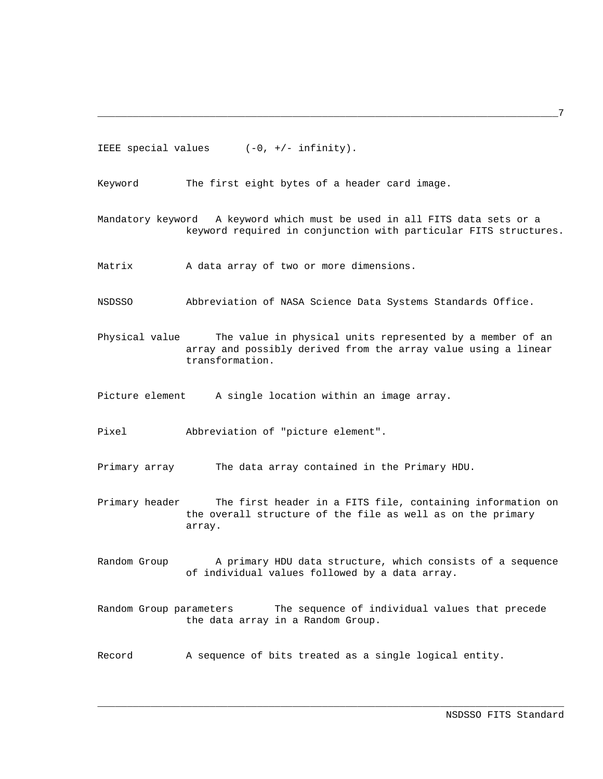IEEE special values  $(-0, +/-$  infinity).

Keyword The first eight bytes of a header card image.

Mandatory keyword A keyword which must be used in all FITS data sets or a keyword required in conjunction with particular FITS structures.

Matrix A data array of two or more dimensions.

NSDSSO Abbreviation of NASA Science Data Systems Standards Office.

Physical value The value in physical units represented by a member of an array and possibly derived from the array value using a linear transformation.

Picture element A single location within an image array.

Pixel Abbreviation of "picture element".

Primary array The data array contained in the Primary HDU.

Primary header The first header in a FITS file, containing information on the overall structure of the file as well as on the primary array.

Random Group A primary HDU data structure, which consists of a sequence of individual values followed by a data array.

Random Group parameters The sequence of individual values that precede the data array in a Random Group.

 $\_$  , and the set of the set of the set of the set of the set of the set of the set of the set of the set of the set of the set of the set of the set of the set of the set of the set of the set of the set of the set of th

Record A sequence of bits treated as a single logical entity.

\_\_\_\_\_\_\_\_\_\_\_\_\_\_\_\_\_\_\_\_\_\_\_\_\_\_\_\_\_\_\_\_\_\_\_\_\_\_\_\_\_\_\_\_\_\_\_\_\_\_\_\_\_\_\_\_\_\_\_\_\_\_\_\_\_\_\_\_\_\_\_\_\_\_\_\_\_\_7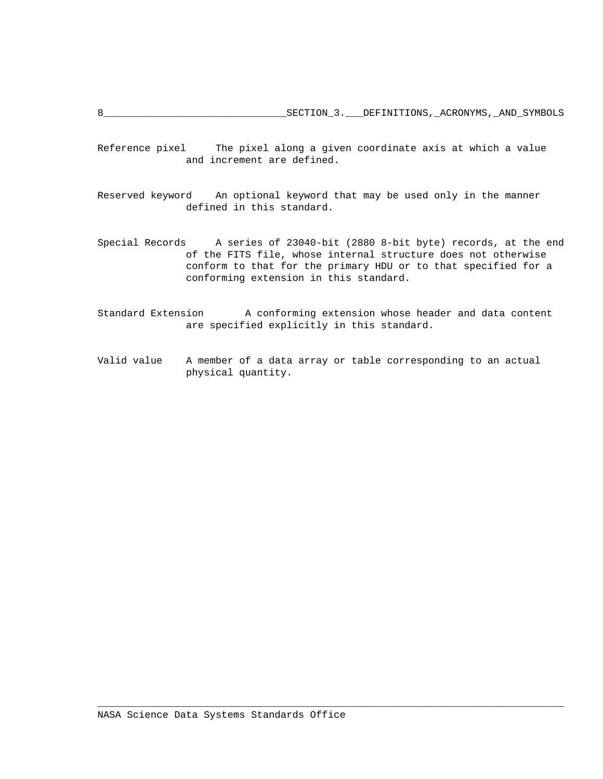- Reference pixel The pixel along a given coordinate axis at which a value and increment are defined.
- Reserved keyword An optional keyword that may be used only in the manner defined in this standard.
- Special Records A series of 23040-bit (2880 8-bit byte) records, at the end of the FITS file, whose internal structure does not otherwise conform to that for the primary HDU or to that specified for a conforming extension in this standard.
- Standard Extension A conforming extension whose header and data content are specified explicitly in this standard.
- Valid value A member of a data array or table corresponding to an actual physical quantity.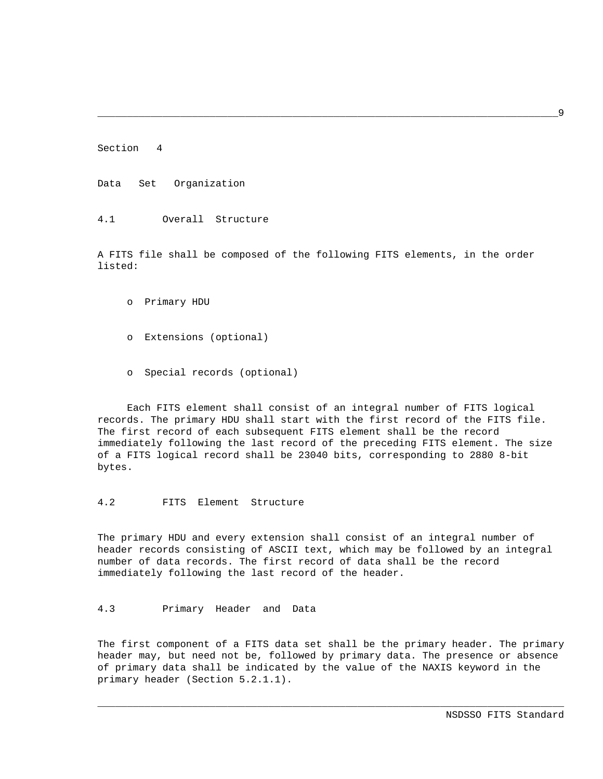Section 4

Data Set Organization

4.1 Overall Structure

A FITS file shall be composed of the following FITS elements, in the order listed:

- o Primary HDU
- o Extensions (optional)
- o Special records (optional)

 Each FITS element shall consist of an integral number of FITS logical records. The primary HDU shall start with the first record of the FITS file. The first record of each subsequent FITS element shall be the record immediately following the last record of the preceding FITS element. The size of a FITS logical record shall be 23040 bits, corresponding to 2880 8-bit bytes.

4.2 FITS Element Structure

The primary HDU and every extension shall consist of an integral number of header records consisting of ASCII text, which may be followed by an integral number of data records. The first record of data shall be the record immediately following the last record of the header.

4.3 Primary Header and Data

The first component of a FITS data set shall be the primary header. The primary header may, but need not be, followed by primary data. The presence or absence of primary data shall be indicated by the value of the NAXIS keyword in the primary header (Section 5.2.1.1).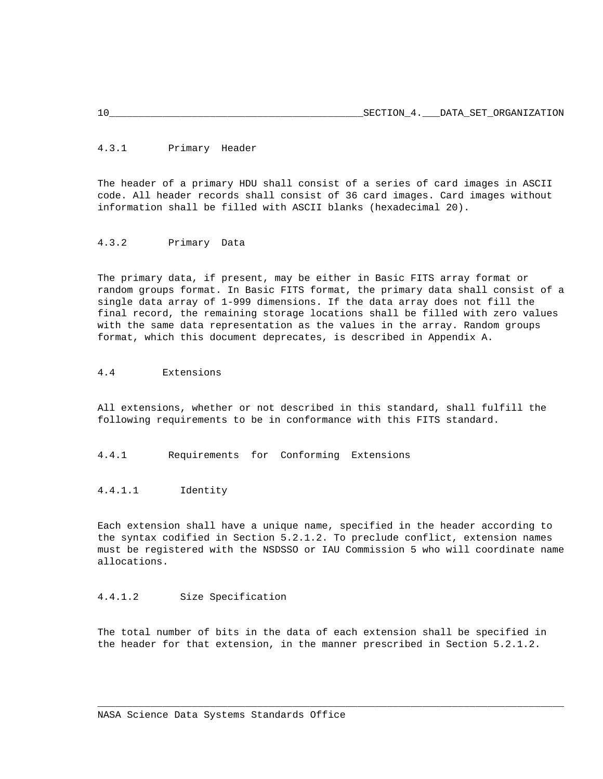#### 4.3.1 Primary Header

The header of a primary HDU shall consist of a series of card images in ASCII code. All header records shall consist of 36 card images. Card images without information shall be filled with ASCII blanks (hexadecimal 20).

# 4.3.2 Primary Data

The primary data, if present, may be either in Basic FITS array format or random groups format. In Basic FITS format, the primary data shall consist of a single data array of 1-999 dimensions. If the data array does not fill the final record, the remaining storage locations shall be filled with zero values with the same data representation as the values in the array. Random groups format, which this document deprecates, is described in Appendix A.

# 4.4 Extensions

All extensions, whether or not described in this standard, shall fulfill the following requirements to be in conformance with this FITS standard.

4.4.1 Requirements for Conforming Extensions

# 4.4.1.1 Identity

Each extension shall have a unique name, specified in the header according to the syntax codified in Section 5.2.1.2. To preclude conflict, extension names must be registered with the NSDSSO or IAU Commission 5 who will coordinate name allocations.

## 4.4.1.2 Size Specification

The total number of bits in the data of each extension shall be specified in the header for that extension, in the manner prescribed in Section 5.2.1.2.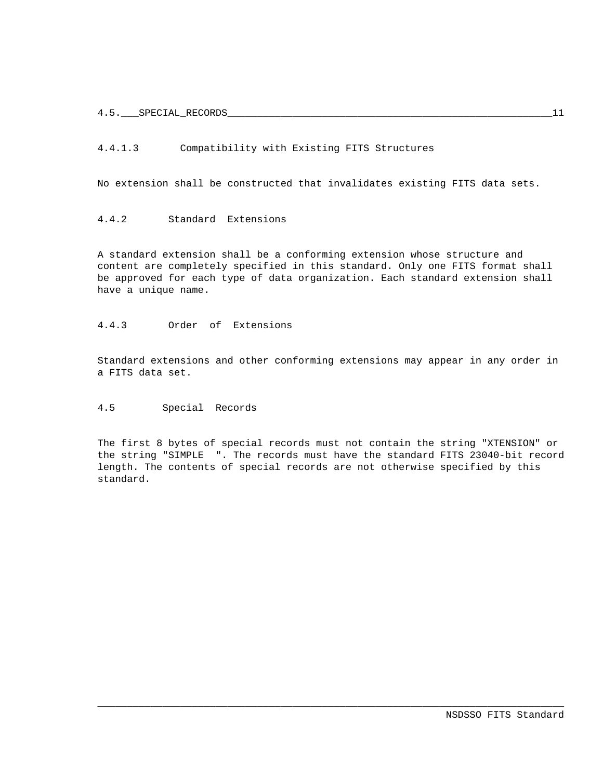4.4.1.3 Compatibility with Existing FITS Structures

No extension shall be constructed that invalidates existing FITS data sets.

4.4.2 Standard Extensions

A standard extension shall be a conforming extension whose structure and content are completely specified in this standard. Only one FITS format shall be approved for each type of data organization. Each standard extension shall have a unique name.

# 4.4.3 Order of Extensions

Standard extensions and other conforming extensions may appear in any order in a FITS data set.

# 4.5 Special Records

The first 8 bytes of special records must not contain the string "XTENSION" or the string "SIMPLE ". The records must have the standard FITS 23040-bit record length. The contents of special records are not otherwise specified by this standard.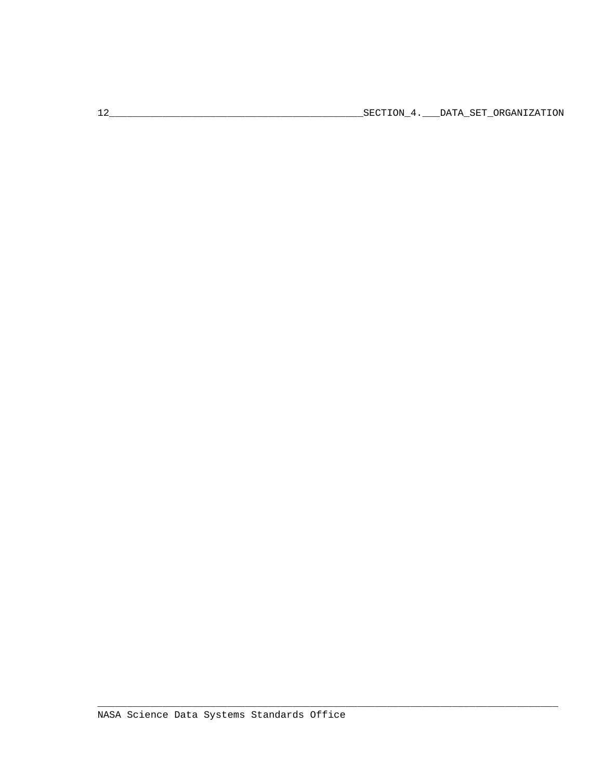\_\_\_\_\_\_\_\_\_\_\_\_\_\_\_\_\_\_\_\_\_\_\_\_\_\_\_\_\_\_\_\_\_\_\_\_\_\_\_\_\_\_\_\_\_\_\_\_\_\_\_\_\_\_\_\_\_\_\_\_\_\_\_\_\_\_\_\_\_\_\_\_\_\_\_\_\_\_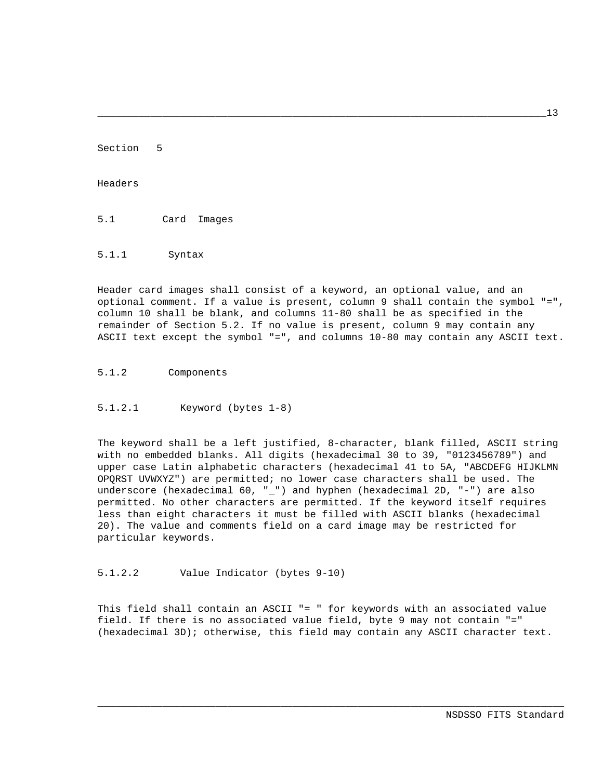Section 5

Headers

5.1 Card Images

5.1.1 Syntax

Header card images shall consist of a keyword, an optional value, and an optional comment. If a value is present, column 9 shall contain the symbol "=", column 10 shall be blank, and columns 11-80 shall be as specified in the remainder of Section 5.2. If no value is present, column 9 may contain any ASCII text except the symbol "=", and columns 10-80 may contain any ASCII text.

5.1.2 Components

## 5.1.2.1 Keyword (bytes 1-8)

The keyword shall be a left justified, 8-character, blank filled, ASCII string with no embedded blanks. All digits (hexadecimal 30 to 39, "0123456789") and upper case Latin alphabetic characters (hexadecimal 41 to 5A, "ABCDEFG HIJKLMN OPQRST UVWXYZ") are permitted; no lower case characters shall be used. The underscore (hexadecimal 60,  $" "$ ) and hyphen (hexadecimal 2D,  $" - "$ ) are also permitted. No other characters are permitted. If the keyword itself requires less than eight characters it must be filled with ASCII blanks (hexadecimal 20). The value and comments field on a card image may be restricted for particular keywords.

5.1.2.2 Value Indicator (bytes 9-10)

This field shall contain an ASCII "= " for keywords with an associated value field. If there is no associated value field, byte 9 may not contain "=" (hexadecimal 3D); otherwise, this field may contain any ASCII character text.

 $\_$  , and the set of the set of the set of the set of the set of the set of the set of the set of the set of the set of the set of the set of the set of the set of the set of the set of the set of the set of the set of th

\_\_\_\_\_\_\_\_\_\_\_\_\_\_\_\_\_\_\_\_\_\_\_\_\_\_\_\_\_\_\_\_\_\_\_\_\_\_\_\_\_\_\_\_\_\_\_\_\_\_\_\_\_\_\_\_\_\_\_\_\_\_\_\_\_\_\_\_\_\_\_\_\_\_\_\_13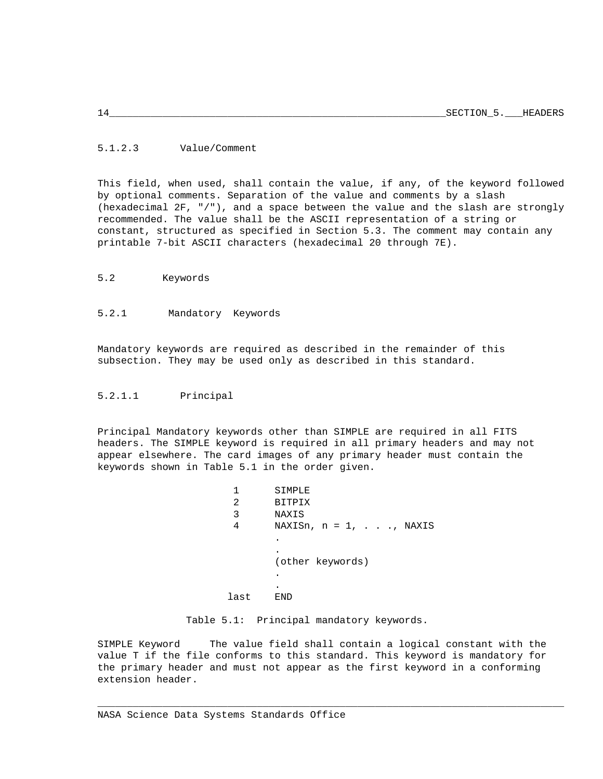#### 5.1.2.3 Value/Comment

This field, when used, shall contain the value, if any, of the keyword followed by optional comments. Separation of the value and comments by a slash (hexadecimal 2F, "/"), and a space between the value and the slash are strongly recommended. The value shall be the ASCII representation of a string or constant, structured as specified in Section 5.3. The comment may contain any printable 7-bit ASCII characters (hexadecimal 20 through 7E).

- 5.2 Keywords
- 5.2.1 Mandatory Keywords

Mandatory keywords are required as described in the remainder of this subsection. They may be used only as described in this standard.

## 5.2.1.1 Principal

Principal Mandatory keywords other than SIMPLE are required in all FITS headers. The SIMPLE keyword is required in all primary headers and may not appear elsewhere. The card images of any primary header must contain the keywords shown in Table 5.1 in the order given.

 1 SIMPLE 2 BITPIX 3 NAXIS 4 NAXISn, n = 1, . . ., NAXIS . . (other keywords) . . last END

Table 5.1: Principal mandatory keywords.

SIMPLE Keyword The value field shall contain a logical constant with the value T if the file conforms to this standard. This keyword is mandatory for the primary header and must not appear as the first keyword in a conforming extension header.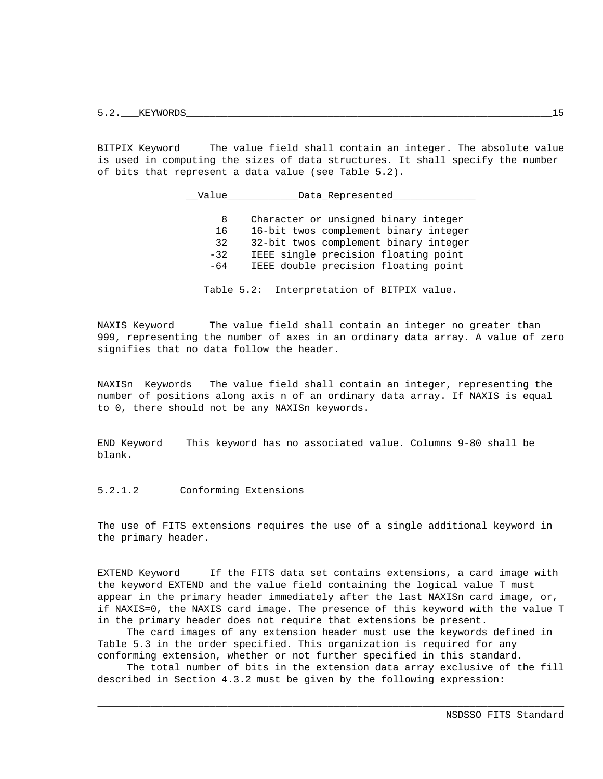BITPIX Keyword The value field shall contain an integer. The absolute value is used in computing the sizes of data structures. It shall specify the number of bits that represent a data value (see Table 5.2).

\_\_Value\_\_\_\_\_\_\_\_\_\_\_\_Data\_Represented\_\_\_\_\_\_\_\_\_\_\_\_\_\_

 8 Character or unsigned binary integer 16 16-bit twos complement binary integer 32 32-bit twos complement binary integer -32 IEEE single precision floating point -64 IEEE double precision floating point

Table 5.2: Interpretation of BITPIX value.

NAXIS Keyword The value field shall contain an integer no greater than 999, representing the number of axes in an ordinary data array. A value of zero signifies that no data follow the header.

NAXISn Keywords The value field shall contain an integer, representing the number of positions along axis n of an ordinary data array. If NAXIS is equal to 0, there should not be any NAXISn keywords.

END Keyword This keyword has no associated value. Columns 9-80 shall be blank.

5.2.1.2 Conforming Extensions

The use of FITS extensions requires the use of a single additional keyword in the primary header.

EXTEND Keyword If the FITS data set contains extensions, a card image with the keyword EXTEND and the value field containing the logical value T must appear in the primary header immediately after the last NAXISn card image, or, if NAXIS=0, the NAXIS card image. The presence of this keyword with the value T in the primary header does not require that extensions be present.

 The card images of any extension header must use the keywords defined in Table 5.3 in the order specified. This organization is required for any conforming extension, whether or not further specified in this standard.

 The total number of bits in the extension data array exclusive of the fill described in Section 4.3.2 must be given by the following expression: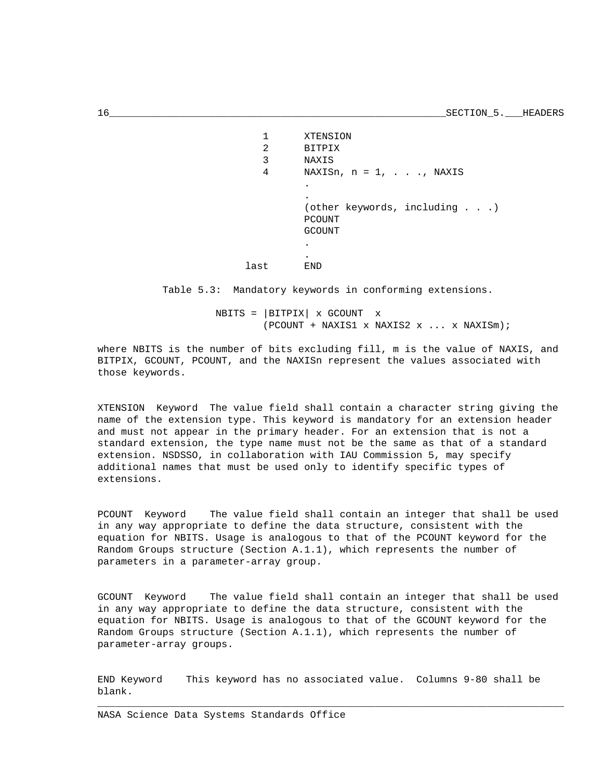```
 1 XTENSION
                                                     2 BITPIX
                                                     3 NAXIS
                                                     4 NAXISn, n = 1, . . ., NAXIS
. The contract of the contract of the contract of the contract of the contract of the contract of the contract of
. The contract of the contract of the contract of the contract of the contract of the contract of the contract of
                                                                   (other keywords, including . . .)
                                                                   PCOUNT
                                                                   GCOUNT
. The contract of the contract of the contract of the contract of the contract of the contract of the contract of
. The contract of the contract of the contract of the contract of the contract of the contract of the contract of
 last END
```
Table 5.3: Mandatory keywords in conforming extensions.

 NBITS = |BITPIX| x GCOUNT x (PCOUNT + NAXIS1 x NAXIS2 x ... x NAXISm);

where NBITS is the number of bits excluding fill, m is the value of NAXIS, and BITPIX, GCOUNT, PCOUNT, and the NAXISn represent the values associated with those keywords.

XTENSION Keyword The value field shall contain a character string giving the name of the extension type. This keyword is mandatory for an extension header and must not appear in the primary header. For an extension that is not a standard extension, the type name must not be the same as that of a standard extension. NSDSSO, in collaboration with IAU Commission 5, may specify additional names that must be used only to identify specific types of extensions.

PCOUNT Keyword The value field shall contain an integer that shall be used in any way appropriate to define the data structure, consistent with the equation for NBITS. Usage is analogous to that of the PCOUNT keyword for the Random Groups structure (Section A.1.1), which represents the number of parameters in a parameter-array group.

GCOUNT Keyword The value field shall contain an integer that shall be used in any way appropriate to define the data structure, consistent with the equation for NBITS. Usage is analogous to that of the GCOUNT keyword for the Random Groups structure (Section A.1.1), which represents the number of parameter-array groups.

END Keyword This keyword has no associated value. Columns 9-80 shall be blank.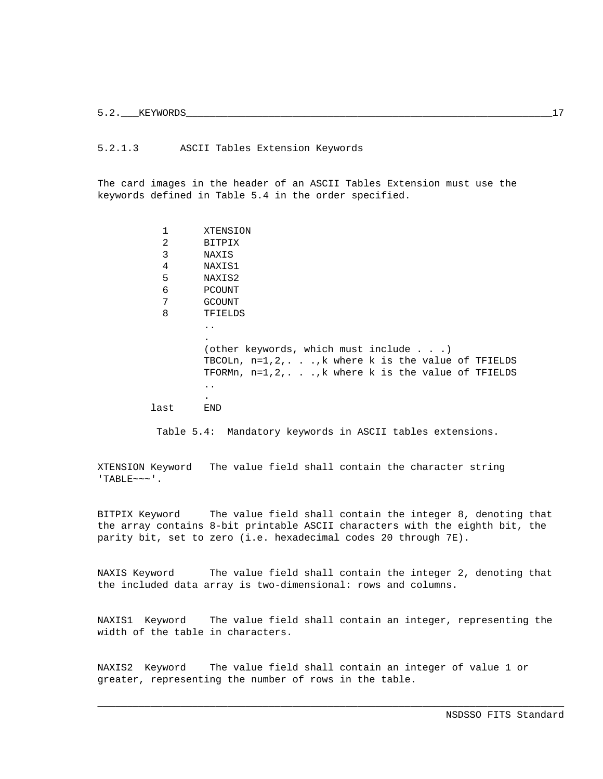5.2.1.3 ASCII Tables Extension Keywords

The card images in the header of an ASCII Tables Extension must use the keywords defined in Table 5.4 in the order specified.

|                | XTENSION                                           |
|----------------|----------------------------------------------------|
| $\mathfrak{D}$ | BITPIX                                             |
| 3              | NAXIS                                              |
| 4              | NAXIS1                                             |
| 5              | NAXIS2                                             |
| 6              | PCOUNT                                             |
| 7              | GCOUNT                                             |
| 8              | TFIELDS                                            |
|                | $\cdot$ .                                          |
|                | $\bullet$                                          |
|                | (other keywords, which must include $\ldots$ )     |
|                | TBCOLn, $n=1,2,,k$ where k is the value of TFIELDS |
|                | TFORMn, $n=1,2,$ k where k is the value of TFIELDS |
|                | $\cdot$ .                                          |
|                | $\bullet$                                          |
| last           | END                                                |
|                |                                                    |

Table 5.4: Mandatory keywords in ASCII tables extensions.

XTENSION Keyword The value field shall contain the character string 'TABLE~~~'.

BITPIX Keyword The value field shall contain the integer 8, denoting that the array contains 8-bit printable ASCII characters with the eighth bit, the parity bit, set to zero (i.e. hexadecimal codes 20 through 7E).

NAXIS Keyword The value field shall contain the integer 2, denoting that the included data array is two-dimensional: rows and columns.

NAXIS1 Keyword The value field shall contain an integer, representing the width of the table in characters.

 $\_$  , and the set of the set of the set of the set of the set of the set of the set of the set of the set of the set of the set of the set of the set of the set of the set of the set of the set of the set of the set of th

NAXIS2 Keyword The value field shall contain an integer of value 1 or greater, representing the number of rows in the table.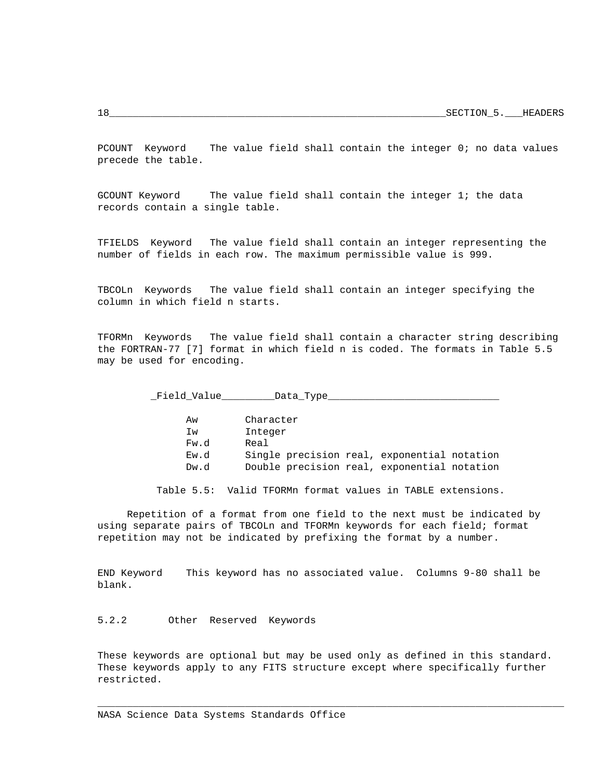PCOUNT Keyword The value field shall contain the integer 0; no data values precede the table.

GCOUNT Keyword The value field shall contain the integer 1; the data records contain a single table.

TFIELDS Keyword The value field shall contain an integer representing the number of fields in each row. The maximum permissible value is 999.

TBCOLn Keywords The value field shall contain an integer specifying the column in which field n starts.

TFORMn Keywords The value field shall contain a character string describing the FORTRAN-77 [7] format in which field n is coded. The formats in Table 5.5 may be used for encoding.

\_Field\_Value\_\_\_\_\_\_\_\_\_Data\_Type\_\_\_\_\_\_\_\_\_\_\_\_\_\_\_\_\_\_\_\_\_\_\_\_\_\_\_\_\_

 Aw Character Iw Integer Fw.d Real Ew.d Single precision real, exponential notation Dw.d Double precision real, exponential notation

Table 5.5: Valid TFORMn format values in TABLE extensions.

 Repetition of a format from one field to the next must be indicated by using separate pairs of TBCOLn and TFORMn keywords for each field; format repetition may not be indicated by prefixing the format by a number.

END Keyword This keyword has no associated value. Columns 9-80 shall be blank.

5.2.2 Other Reserved Keywords

These keywords are optional but may be used only as defined in this standard. These keywords apply to any FITS structure except where specifically further restricted.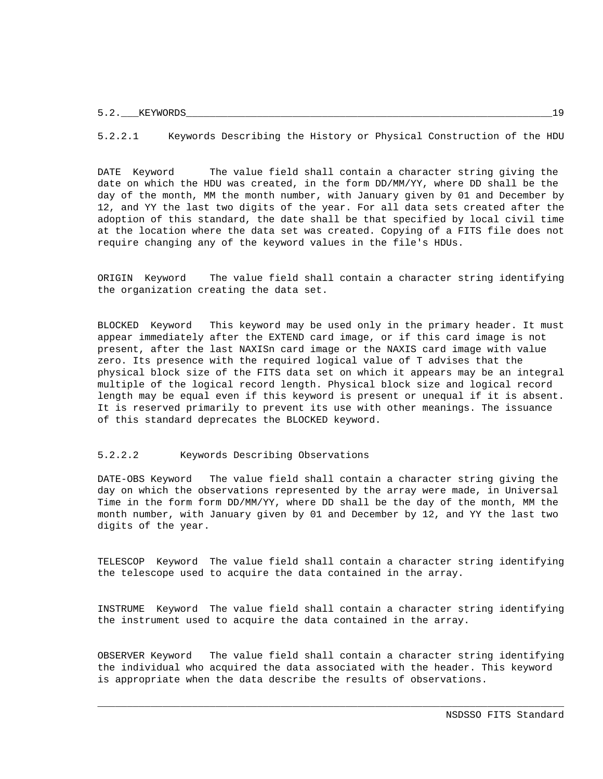5.2.2.1 Keywords Describing the History or Physical Construction of the HDU

DATE Keyword The value field shall contain a character string giving the date on which the HDU was created, in the form DD/MM/YY, where DD shall be the day of the month, MM the month number, with January given by 01 and December by 12, and YY the last two digits of the year. For all data sets created after the adoption of this standard, the date shall be that specified by local civil time at the location where the data set was created. Copying of a FITS file does not require changing any of the keyword values in the file's HDUs.

ORIGIN Keyword The value field shall contain a character string identifying the organization creating the data set.

BLOCKED Keyword This keyword may be used only in the primary header. It must appear immediately after the EXTEND card image, or if this card image is not present, after the last NAXISn card image or the NAXIS card image with value zero. Its presence with the required logical value of T advises that the physical block size of the FITS data set on which it appears may be an integral multiple of the logical record length. Physical block size and logical record length may be equal even if this keyword is present or unequal if it is absent. It is reserved primarily to prevent its use with other meanings. The issuance of this standard deprecates the BLOCKED keyword.

## 5.2.2.2 Keywords Describing Observations

DATE-OBS Keyword The value field shall contain a character string giving the day on which the observations represented by the array were made, in Universal Time in the form form DD/MM/YY, where DD shall be the day of the month, MM the month number, with January given by 01 and December by 12, and YY the last two digits of the year.

TELESCOP Keyword The value field shall contain a character string identifying the telescope used to acquire the data contained in the array.

INSTRUME Keyword The value field shall contain a character string identifying the instrument used to acquire the data contained in the array.

OBSERVER Keyword The value field shall contain a character string identifying the individual who acquired the data associated with the header. This keyword is appropriate when the data describe the results of observations.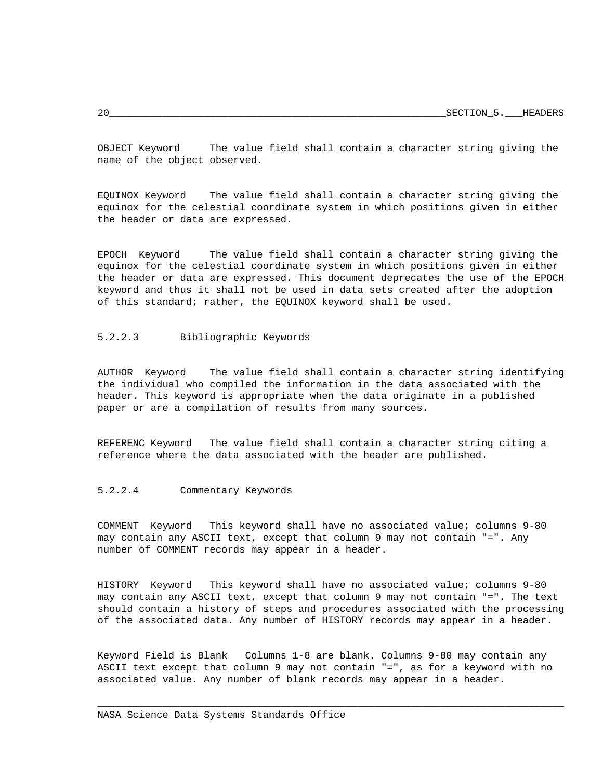OBJECT Keyword The value field shall contain a character string giving the name of the object observed.

EQUINOX Keyword The value field shall contain a character string giving the equinox for the celestial coordinate system in which positions given in either the header or data are expressed.

EPOCH Keyword The value field shall contain a character string giving the equinox for the celestial coordinate system in which positions given in either the header or data are expressed. This document deprecates the use of the EPOCH keyword and thus it shall not be used in data sets created after the adoption of this standard; rather, the EQUINOX keyword shall be used.

#### 5.2.2.3 Bibliographic Keywords

AUTHOR Keyword The value field shall contain a character string identifying the individual who compiled the information in the data associated with the header. This keyword is appropriate when the data originate in a published paper or are a compilation of results from many sources.

REFERENC Keyword The value field shall contain a character string citing a reference where the data associated with the header are published.

#### 5.2.2.4 Commentary Keywords

COMMENT Keyword This keyword shall have no associated value; columns 9-80 may contain any ASCII text, except that column 9 may not contain "=". Any number of COMMENT records may appear in a header.

HISTORY Keyword This keyword shall have no associated value; columns 9-80 may contain any ASCII text, except that column 9 may not contain "=". The text should contain a history of steps and procedures associated with the processing of the associated data. Any number of HISTORY records may appear in a header.

Keyword Field is Blank Columns 1-8 are blank. Columns 9-80 may contain any ASCII text except that column 9 may not contain "=", as for a keyword with no associated value. Any number of blank records may appear in a header.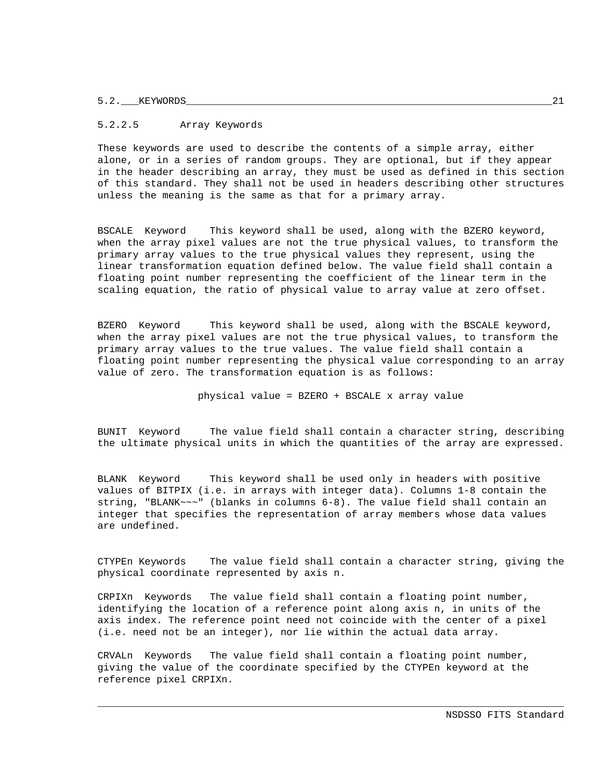#### 5.2. KEYWORDS 21

## 5.2.2.5 Array Keywords

These keywords are used to describe the contents of a simple array, either alone, or in a series of random groups. They are optional, but if they appear in the header describing an array, they must be used as defined in this section of this standard. They shall not be used in headers describing other structures unless the meaning is the same as that for a primary array.

BSCALE Keyword This keyword shall be used, along with the BZERO keyword, when the array pixel values are not the true physical values, to transform the primary array values to the true physical values they represent, using the linear transformation equation defined below. The value field shall contain a floating point number representing the coefficient of the linear term in the scaling equation, the ratio of physical value to array value at zero offset.

BZERO Keyword This keyword shall be used, along with the BSCALE keyword, when the array pixel values are not the true physical values, to transform the primary array values to the true values. The value field shall contain a floating point number representing the physical value corresponding to an array value of zero. The transformation equation is as follows:

physical value = BZERO + BSCALE x array value

BUNIT Keyword The value field shall contain a character string, describing the ultimate physical units in which the quantities of the array are expressed.

BLANK Keyword This keyword shall be used only in headers with positive values of BITPIX (i.e. in arrays with integer data). Columns 1-8 contain the string, "BLANK~~~" (blanks in columns 6-8). The value field shall contain an integer that specifies the representation of array members whose data values are undefined.

CTYPEn Keywords The value field shall contain a character string, giving the physical coordinate represented by axis n.

CRPIXn Keywords The value field shall contain a floating point number, identifying the location of a reference point along axis n, in units of the axis index. The reference point need not coincide with the center of a pixel (i.e. need not be an integer), nor lie within the actual data array.

CRVALn Keywords The value field shall contain a floating point number, giving the value of the coordinate specified by the CTYPEn keyword at the reference pixel CRPIXn.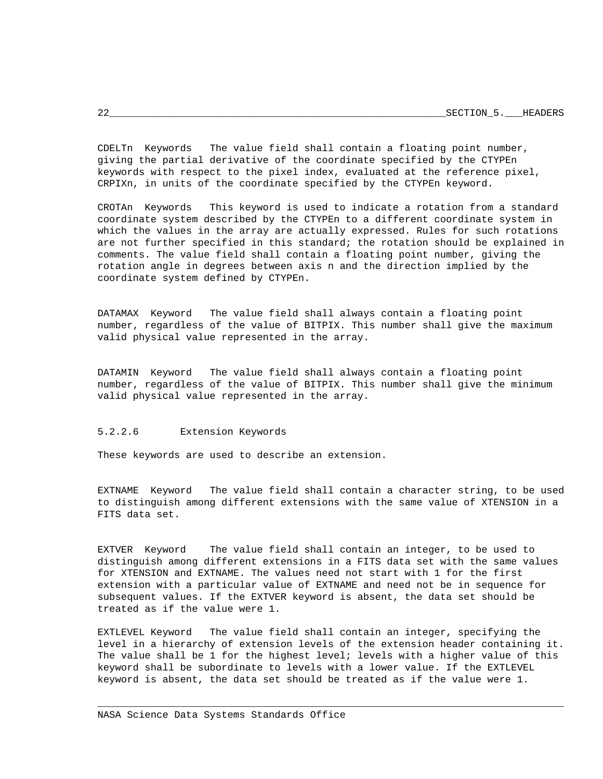CDELTn Keywords The value field shall contain a floating point number, giving the partial derivative of the coordinate specified by the CTYPEn keywords with respect to the pixel index, evaluated at the reference pixel, CRPIXn, in units of the coordinate specified by the CTYPEn keyword.

CROTAn Keywords This keyword is used to indicate a rotation from a standard coordinate system described by the CTYPEn to a different coordinate system in which the values in the array are actually expressed. Rules for such rotations are not further specified in this standard; the rotation should be explained in comments. The value field shall contain a floating point number, giving the rotation angle in degrees between axis n and the direction implied by the coordinate system defined by CTYPEn.

DATAMAX Keyword The value field shall always contain a floating point number, regardless of the value of BITPIX. This number shall give the maximum valid physical value represented in the array.

DATAMIN Keyword The value field shall always contain a floating point number, regardless of the value of BITPIX. This number shall give the minimum valid physical value represented in the array.

#### 5.2.2.6 Extension Keywords

These keywords are used to describe an extension.

EXTNAME Keyword The value field shall contain a character string, to be used to distinguish among different extensions with the same value of XTENSION in a FITS data set.

EXTVER Keyword The value field shall contain an integer, to be used to distinguish among different extensions in a FITS data set with the same values for XTENSION and EXTNAME. The values need not start with 1 for the first extension with a particular value of EXTNAME and need not be in sequence for subsequent values. If the EXTVER keyword is absent, the data set should be treated as if the value were 1.

EXTLEVEL Keyword The value field shall contain an integer, specifying the level in a hierarchy of extension levels of the extension header containing it. The value shall be 1 for the highest level; levels with a higher value of this keyword shall be subordinate to levels with a lower value. If the EXTLEVEL keyword is absent, the data set should be treated as if the value were 1.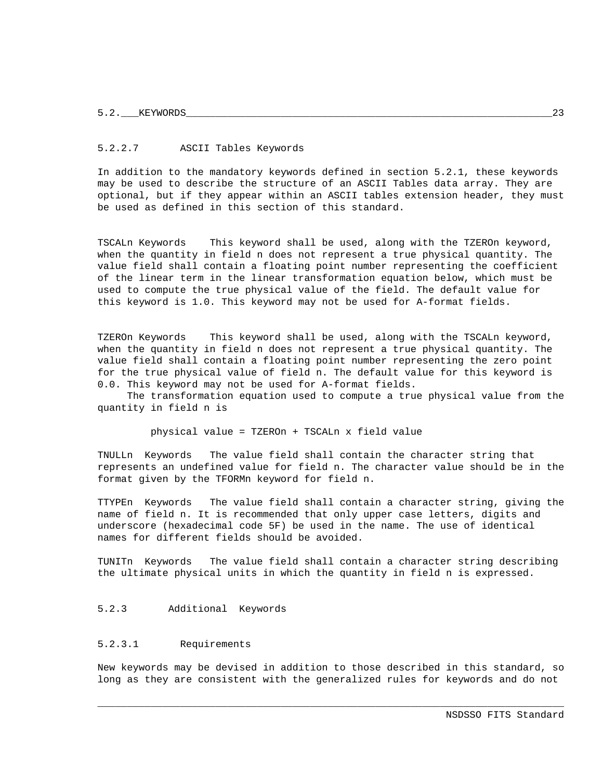## 5.2.2.7 ASCII Tables Keywords

In addition to the mandatory keywords defined in section 5.2.1, these keywords may be used to describe the structure of an ASCII Tables data array. They are optional, but if they appear within an ASCII tables extension header, they must be used as defined in this section of this standard.

TSCALn Keywords This keyword shall be used, along with the TZEROn keyword, when the quantity in field n does not represent a true physical quantity. The value field shall contain a floating point number representing the coefficient of the linear term in the linear transformation equation below, which must be used to compute the true physical value of the field. The default value for this keyword is 1.0. This keyword may not be used for A-format fields.

TZEROn Keywords This keyword shall be used, along with the TSCALn keyword, when the quantity in field n does not represent a true physical quantity. The value field shall contain a floating point number representing the zero point for the true physical value of field n. The default value for this keyword is 0.0. This keyword may not be used for A-format fields.

 The transformation equation used to compute a true physical value from the quantity in field n is

physical value = TZEROn + TSCALn x field value

TNULLn Keywords The value field shall contain the character string that represents an undefined value for field n. The character value should be in the format given by the TFORMn keyword for field n.

TTYPEn Keywords The value field shall contain a character string, giving the name of field n. It is recommended that only upper case letters, digits and underscore (hexadecimal code 5F) be used in the name. The use of identical names for different fields should be avoided.

TUNITn Keywords The value field shall contain a character string describing the ultimate physical units in which the quantity in field n is expressed.

# 5.2.3 Additional Keywords

# 5.2.3.1 Requirements

New keywords may be devised in addition to those described in this standard, so long as they are consistent with the generalized rules for keywords and do not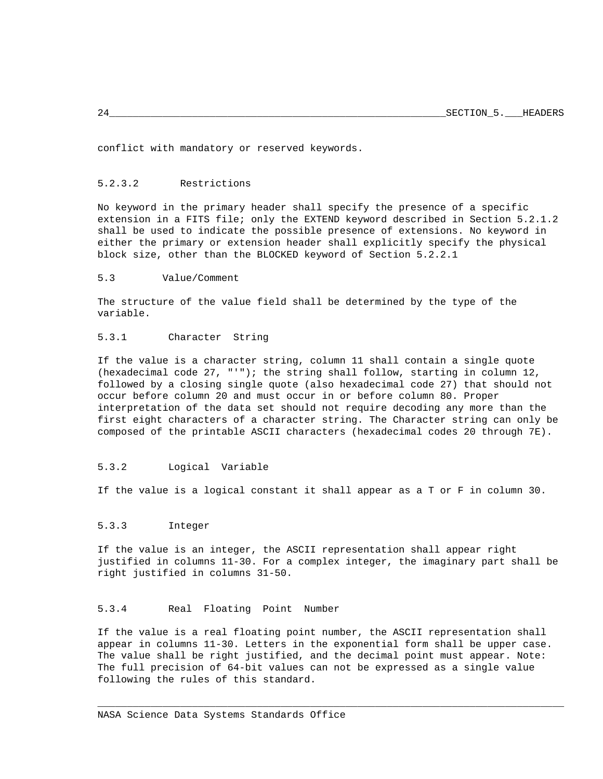conflict with mandatory or reserved keywords.

#### 5.2.3.2 Restrictions

No keyword in the primary header shall specify the presence of a specific extension in a FITS file; only the EXTEND keyword described in Section 5.2.1.2 shall be used to indicate the possible presence of extensions. No keyword in either the primary or extension header shall explicitly specify the physical block size, other than the BLOCKED keyword of Section 5.2.2.1

#### 5.3 Value/Comment

The structure of the value field shall be determined by the type of the variable.

#### 5.3.1 Character String

If the value is a character string, column 11 shall contain a single quote (hexadecimal code 27, "'"); the string shall follow, starting in column 12, followed by a closing single quote (also hexadecimal code 27) that should not occur before column 20 and must occur in or before column 80. Proper interpretation of the data set should not require decoding any more than the first eight characters of a character string. The Character string can only be composed of the printable ASCII characters (hexadecimal codes 20 through 7E).

#### 5.3.2 Logical Variable

If the value is a logical constant it shall appear as a T or F in column 30.

#### 5.3.3 Integer

If the value is an integer, the ASCII representation shall appear right justified in columns 11-30. For a complex integer, the imaginary part shall be right justified in columns 31-50.

## 5.3.4 Real Floating Point Number

If the value is a real floating point number, the ASCII representation shall appear in columns 11-30. Letters in the exponential form shall be upper case. The value shall be right justified, and the decimal point must appear. Note: The full precision of 64-bit values can not be expressed as a single value following the rules of this standard.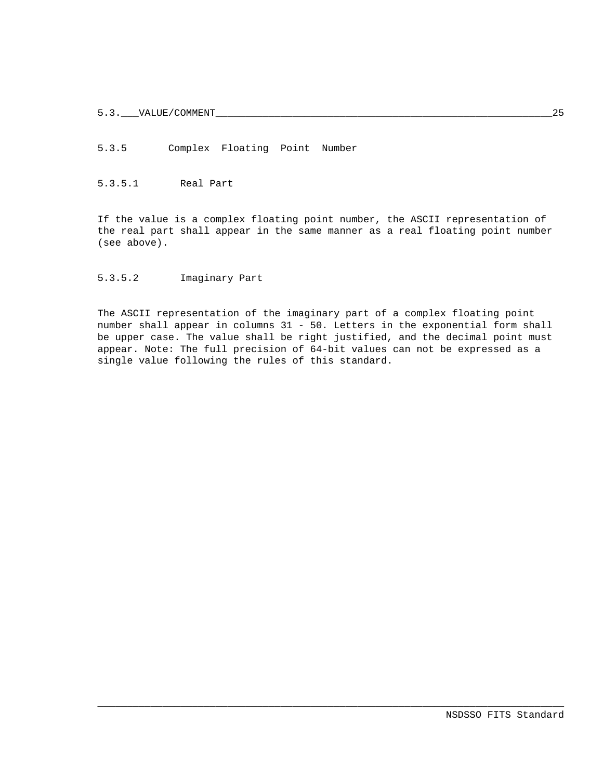5.3.5 Complex Floating Point Number

5.3.5.1 Real Part

If the value is a complex floating point number, the ASCII representation of the real part shall appear in the same manner as a real floating point number (see above).

## 5.3.5.2 Imaginary Part

The ASCII representation of the imaginary part of a complex floating point number shall appear in columns 31 - 50. Letters in the exponential form shall be upper case. The value shall be right justified, and the decimal point must appear. Note: The full precision of 64-bit values can not be expressed as a single value following the rules of this standard.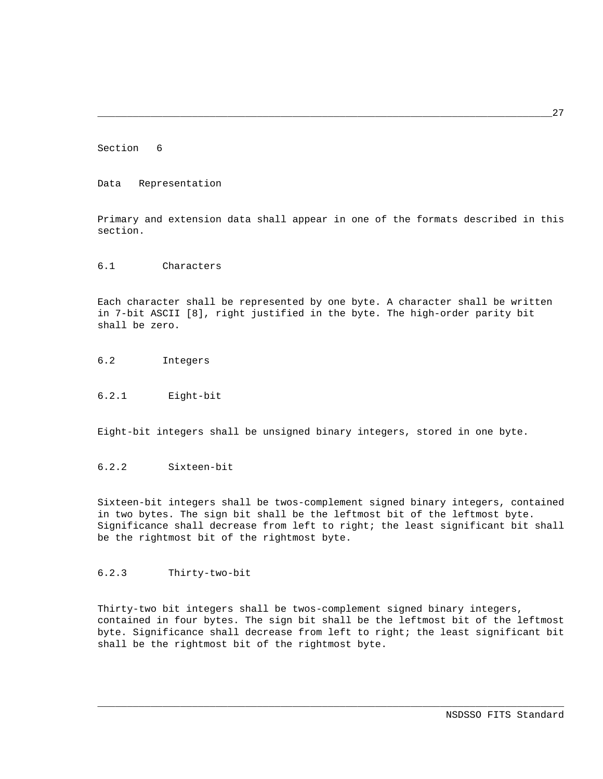Section 6

Data Representation

Primary and extension data shall appear in one of the formats described in this section.

6.1 Characters

Each character shall be represented by one byte. A character shall be written in 7-bit ASCII [8], right justified in the byte. The high-order parity bit shall be zero.

6.2 Integers

6.2.1 Eight-bit

Eight-bit integers shall be unsigned binary integers, stored in one byte.

6.2.2 Sixteen-bit

Sixteen-bit integers shall be twos-complement signed binary integers, contained in two bytes. The sign bit shall be the leftmost bit of the leftmost byte. Significance shall decrease from left to right; the least significant bit shall be the rightmost bit of the rightmost byte.

# 6.2.3 Thirty-two-bit

Thirty-two bit integers shall be twos-complement signed binary integers, contained in four bytes. The sign bit shall be the leftmost bit of the leftmost byte. Significance shall decrease from left to right; the least significant bit shall be the rightmost bit of the rightmost byte.

 $\_$  , and the set of the set of the set of the set of the set of the set of the set of the set of the set of the set of the set of the set of the set of the set of the set of the set of the set of the set of the set of th

\_\_\_\_\_\_\_\_\_\_\_\_\_\_\_\_\_\_\_\_\_\_\_\_\_\_\_\_\_\_\_\_\_\_\_\_\_\_\_\_\_\_\_\_\_\_\_\_\_\_\_\_\_\_\_\_\_\_\_\_\_\_\_\_\_\_\_\_\_\_\_\_\_\_\_\_\_27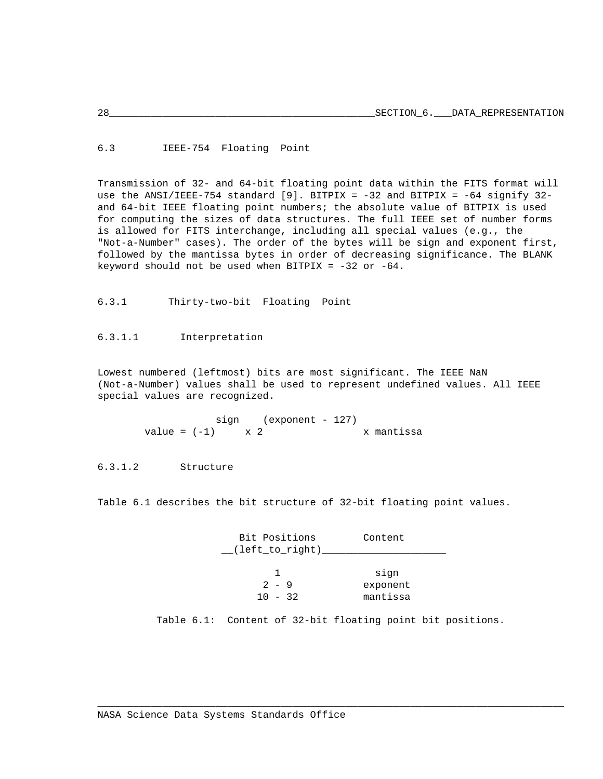#### 6.3 IEEE-754 Floating Point

Transmission of 32- and 64-bit floating point data within the FITS format will use the ANSI/IEEE-754 standard [9]. BITPIX = -32 and BITPIX = -64 signify 32and 64-bit IEEE floating point numbers; the absolute value of BITPIX is used for computing the sizes of data structures. The full IEEE set of number forms is allowed for FITS interchange, including all special values (e.g., the "Not-a-Number" cases). The order of the bytes will be sign and exponent first, followed by the mantissa bytes in order of decreasing significance. The BLANK keyword should not be used when BITPIX =  $-32$  or  $-64$ .

6.3.1 Thirty-two-bit Floating Point

6.3.1.1 Interpretation

Lowest numbered (leftmost) bits are most significant. The IEEE NaN (Not-a-Number) values shall be used to represent undefined values. All IEEE special values are recognized.

> sign (exponent - 127) value =  $(-1)$  x 2 x mantissa

6.3.1.2 Structure

Table 6.1 describes the bit structure of 32-bit floating point values.

 Bit Positions Content  $_$  (left\_to\_right)  $_$ den and the sign of the sign of the sign  $1$  2 - 9 exponent 10 - 32 mantissa

Table 6.1: Content of 32-bit floating point bit positions.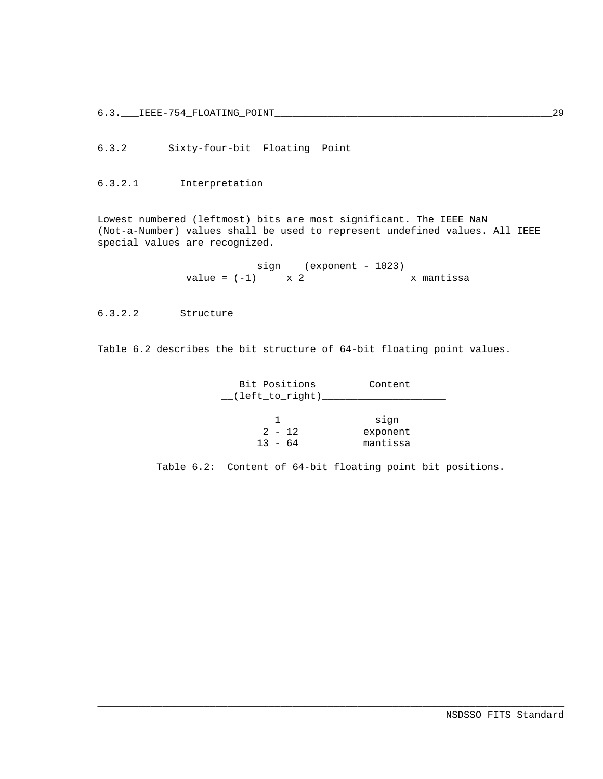6.3.2 Sixty-four-bit Floating Point

# 6.3.2.1 Interpretation

Lowest numbered (leftmost) bits are most significant. The IEEE NaN (Not-a-Number) values shall be used to represent undefined values. All IEEE special values are recognized.

> sign (exponent - 1023) value =  $(-1)$  x 2 x mantissa

# 6.3.2.2 Structure

Table 6.2 describes the bit structure of 64-bit floating point values.

 Bit Positions Content \_\_(left\_to\_right)\_\_\_\_\_\_\_\_\_\_\_\_\_\_\_\_\_\_\_\_\_ den and the sign of the sign of the sign  $1$  2 - 12 exponent 13 - 64 mantissa

Table 6.2: Content of 64-bit floating point bit positions.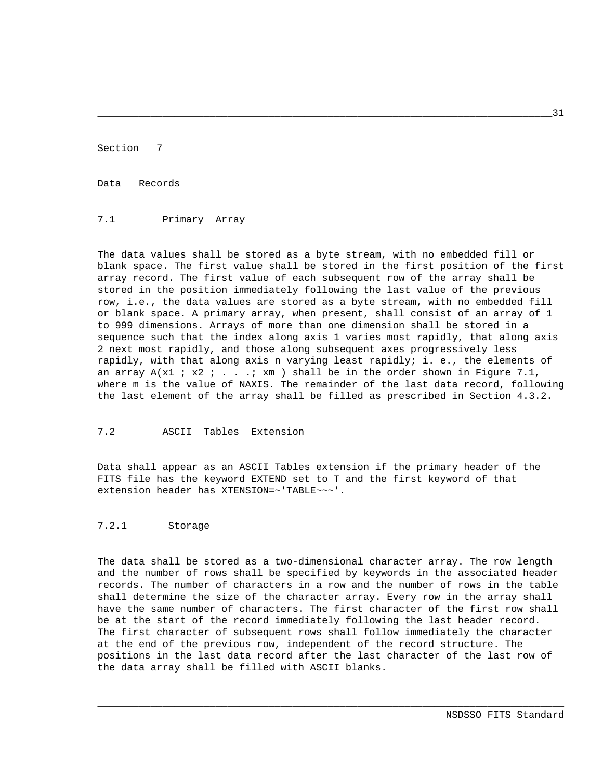Section 7

Data Records

# 7.1 Primary Array

The data values shall be stored as a byte stream, with no embedded fill or blank space. The first value shall be stored in the first position of the first array record. The first value of each subsequent row of the array shall be stored in the position immediately following the last value of the previous row, i.e., the data values are stored as a byte stream, with no embedded fill or blank space. A primary array, when present, shall consist of an array of 1 to 999 dimensions. Arrays of more than one dimension shall be stored in a sequence such that the index along axis 1 varies most rapidly, that along axis 2 next most rapidly, and those along subsequent axes progressively less rapidly, with that along axis n varying least rapidly; i. e., the elements of an array  $A(x1 : x2 : ... : xm)$  shall be in the order shown in Figure 7.1, where m is the value of NAXIS. The remainder of the last data record, following the last element of the array shall be filled as prescribed in Section 4.3.2.

# 7.2 ASCII Tables Extension

Data shall appear as an ASCII Tables extension if the primary header of the FITS file has the keyword EXTEND set to T and the first keyword of that extension header has XTENSION=~'TABLE~~~'.

## 7.2.1 Storage

The data shall be stored as a two-dimensional character array. The row length and the number of rows shall be specified by keywords in the associated header records. The number of characters in a row and the number of rows in the table shall determine the size of the character array. Every row in the array shall have the same number of characters. The first character of the first row shall be at the start of the record immediately following the last header record. The first character of subsequent rows shall follow immediately the character at the end of the previous row, independent of the record structure. The positions in the last data record after the last character of the last row of the data array shall be filled with ASCII blanks.

 $\_$  , and the set of the set of the set of the set of the set of the set of the set of the set of the set of the set of the set of the set of the set of the set of the set of the set of the set of the set of the set of th

\_\_\_\_\_\_\_\_\_\_\_\_\_\_\_\_\_\_\_\_\_\_\_\_\_\_\_\_\_\_\_\_\_\_\_\_\_\_\_\_\_\_\_\_\_\_\_\_\_\_\_\_\_\_\_\_\_\_\_\_\_\_\_\_\_\_\_\_\_\_\_\_\_\_\_\_\_31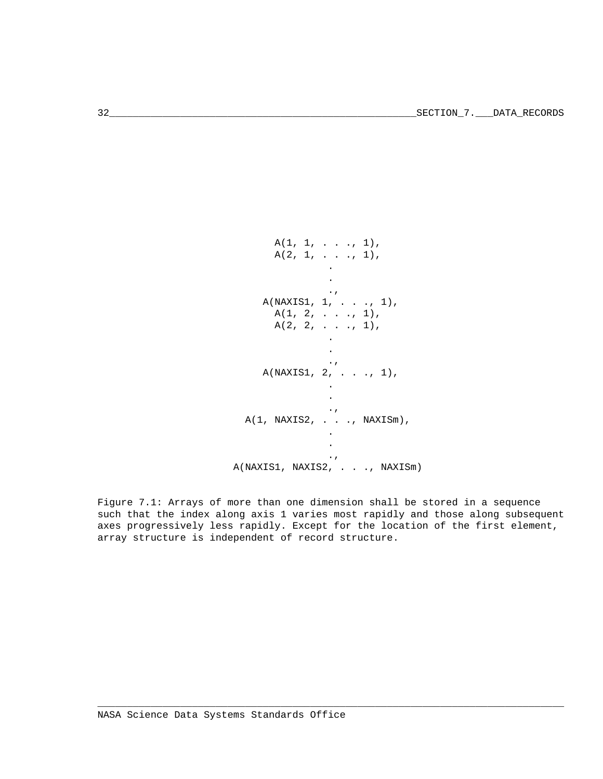A(1, 1, . . ., 1), A(2, 1, . . ., 1), . . ., A(NAXIS1, 1, . . ., 1), A(1, 2, . . ., 1), A(2, 2, . . ., 1), . . ., A(NAXIS1, 2, . . ., 1), . . ., A(1, NAXIS2, . . ., NAXISm), . . ., A(NAXIS1, NAXIS2, . . ., NAXISm)

Figure 7.1: Arrays of more than one dimension shall be stored in a sequence such that the index along axis 1 varies most rapidly and those along subsequent axes progressively less rapidly. Except for the location of the first element, array structure is independent of record structure.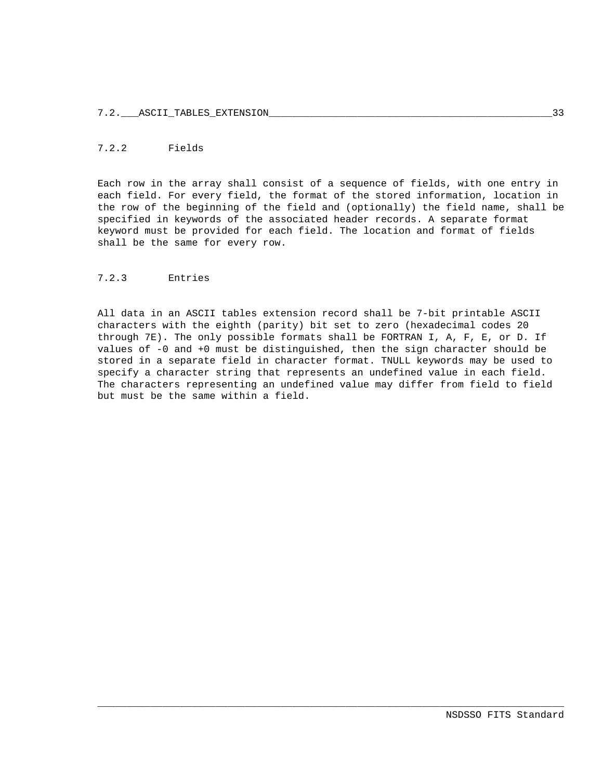## 7.2.2 Fields

Each row in the array shall consist of a sequence of fields, with one entry in each field. For every field, the format of the stored information, location in the row of the beginning of the field and (optionally) the field name, shall be specified in keywords of the associated header records. A separate format keyword must be provided for each field. The location and format of fields shall be the same for every row.

#### 7.2.3 Entries

All data in an ASCII tables extension record shall be 7-bit printable ASCII characters with the eighth (parity) bit set to zero (hexadecimal codes 20 through 7E). The only possible formats shall be FORTRAN I, A, F, E, or D. If values of -0 and +0 must be distinguished, then the sign character should be stored in a separate field in character format. TNULL keywords may be used to specify a character string that represents an undefined value in each field. The characters representing an undefined value may differ from field to field but must be the same within a field.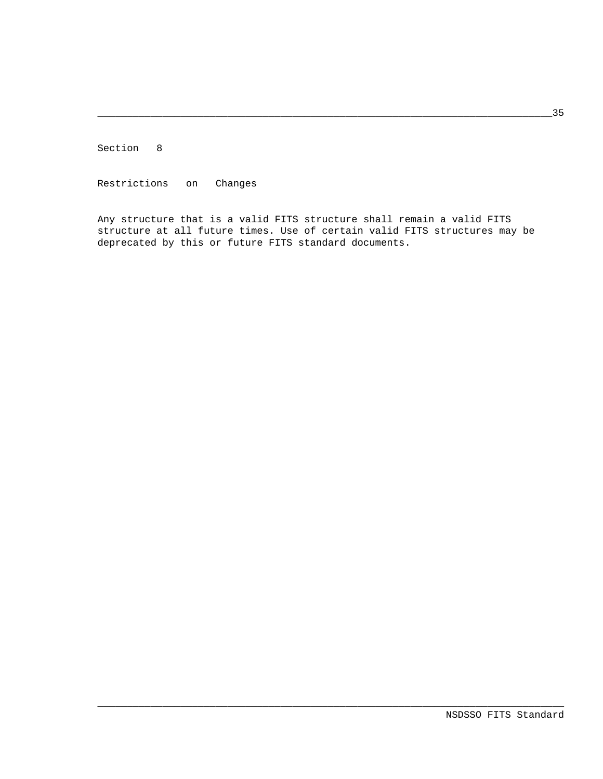Section 8

Restrictions on Changes

Any structure that is a valid FITS structure shall remain a valid FITS structure at all future times. Use of certain valid FITS structures may be deprecated by this or future FITS standard documents.

 $\_$  , and the set of the set of the set of the set of the set of the set of the set of the set of the set of the set of the set of the set of the set of the set of the set of the set of the set of the set of the set of th

\_\_\_\_\_\_\_\_\_\_\_\_\_\_\_\_\_\_\_\_\_\_\_\_\_\_\_\_\_\_\_\_\_\_\_\_\_\_\_\_\_\_\_\_\_\_\_\_\_\_\_\_\_\_\_\_\_\_\_\_\_\_\_\_\_\_\_\_\_\_\_\_\_\_\_\_\_35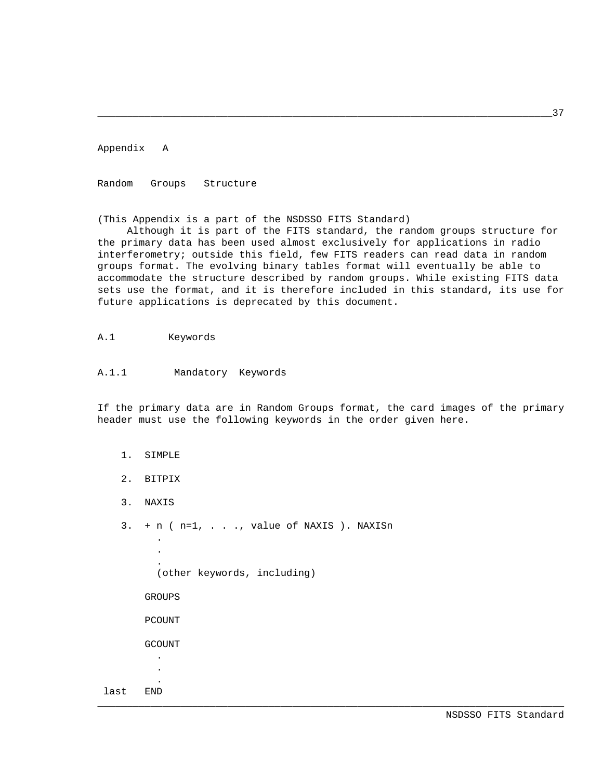Appendix A

Random Groups Structure

(This Appendix is a part of the NSDSSO FITS Standard)

 Although it is part of the FITS standard, the random groups structure for the primary data has been used almost exclusively for applications in radio interferometry; outside this field, few FITS readers can read data in random groups format. The evolving binary tables format will eventually be able to accommodate the structure described by random groups. While existing FITS data sets use the format, and it is therefore included in this standard, its use for future applications is deprecated by this document.

## A.1 Keywords

# A.1.1 Mandatory Keywords

If the primary data are in Random Groups format, the card images of the primary header must use the following keywords in the order given here.

- 1. SIMPLE
- 2. BITPIX
- 3. NAXIS

 . .

- $3. + n$  ( $n=1, \ldots,$  value of NAXIS). NAXISn
- . (other keywords, including)

GROUPS

PCOUNT

GCOUNT

- .
- . .

last END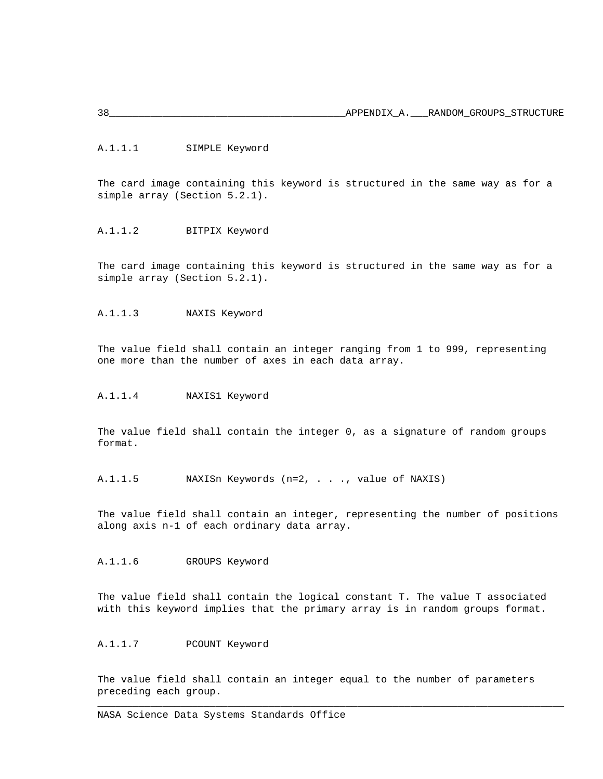#### A.1.1.1 SIMPLE Keyword

The card image containing this keyword is structured in the same way as for a simple array (Section 5.2.1).

#### A.1.1.2 BITPIX Keyword

The card image containing this keyword is structured in the same way as for a simple array (Section 5.2.1).

A.1.1.3 NAXIS Keyword

The value field shall contain an integer ranging from 1 to 999, representing one more than the number of axes in each data array.

#### A.1.1.4 NAXIS1 Keyword

The value field shall contain the integer 0, as a signature of random groups format.

A.1.1.5 NAXISn Keywords (n=2, . . ., value of NAXIS)

The value field shall contain an integer, representing the number of positions along axis n-1 of each ordinary data array.

A.1.1.6 GROUPS Keyword

The value field shall contain the logical constant T. The value T associated with this keyword implies that the primary array is in random groups format.

# A.1.1.7 PCOUNT Keyword

The value field shall contain an integer equal to the number of parameters preceding each group.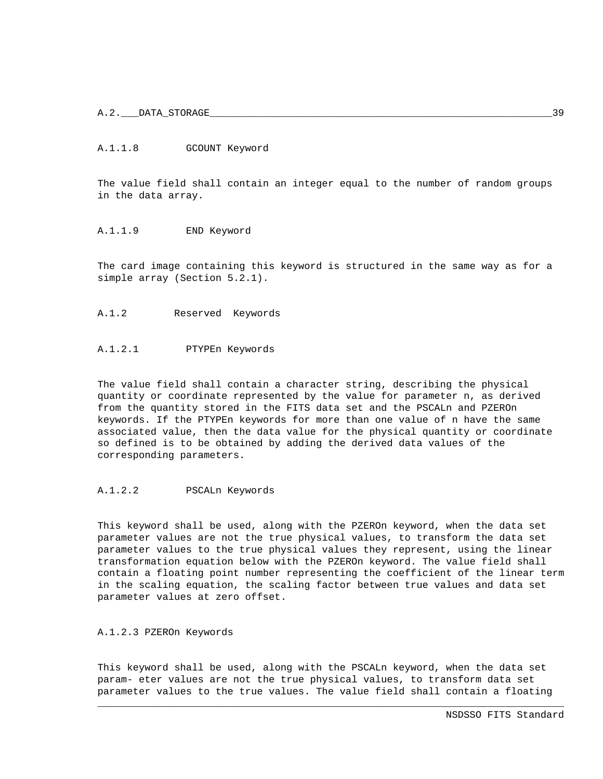#### A.1.1.8 GCOUNT Keyword

The value field shall contain an integer equal to the number of random groups in the data array.

## A.1.1.9 END Keyword

The card image containing this keyword is structured in the same way as for a simple array (Section 5.2.1).

A.1.2 Reserved Keywords

## A.1.2.1 PTYPEn Keywords

The value field shall contain a character string, describing the physical quantity or coordinate represented by the value for parameter n, as derived from the quantity stored in the FITS data set and the PSCALn and PZEROn keywords. If the PTYPEn keywords for more than one value of n have the same associated value, then the data value for the physical quantity or coordinate so defined is to be obtained by adding the derived data values of the corresponding parameters.

# A.1.2.2 PSCALn Keywords

This keyword shall be used, along with the PZEROn keyword, when the data set parameter values are not the true physical values, to transform the data set parameter values to the true physical values they represent, using the linear transformation equation below with the PZEROn keyword. The value field shall contain a floating point number representing the coefficient of the linear term in the scaling equation, the scaling factor between true values and data set parameter values at zero offset.

# A.1.2.3 PZEROn Keywords

This keyword shall be used, along with the PSCALn keyword, when the data set param- eter values are not the true physical values, to transform data set parameter values to the true values. The value field shall contain a floating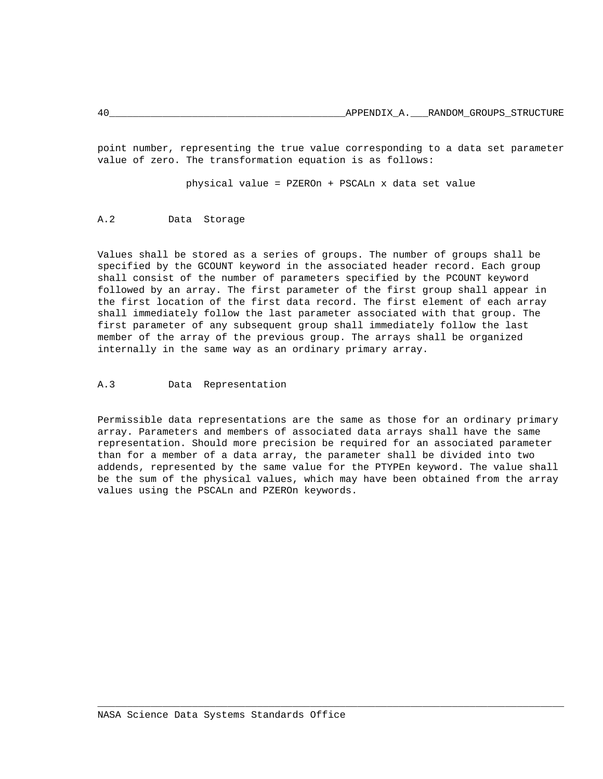point number, representing the true value corresponding to a data set parameter value of zero. The transformation equation is as follows:

physical value = PZEROn + PSCALn x data set value

A.2 Data Storage

Values shall be stored as a series of groups. The number of groups shall be specified by the GCOUNT keyword in the associated header record. Each group shall consist of the number of parameters specified by the PCOUNT keyword followed by an array. The first parameter of the first group shall appear in the first location of the first data record. The first element of each array shall immediately follow the last parameter associated with that group. The first parameter of any subsequent group shall immediately follow the last member of the array of the previous group. The arrays shall be organized internally in the same way as an ordinary primary array.

# A.3 Data Representation

Permissible data representations are the same as those for an ordinary primary array. Parameters and members of associated data arrays shall have the same representation. Should more precision be required for an associated parameter than for a member of a data array, the parameter shall be divided into two addends, represented by the same value for the PTYPEn keyword. The value shall be the sum of the physical values, which may have been obtained from the array values using the PSCALn and PZEROn keywords.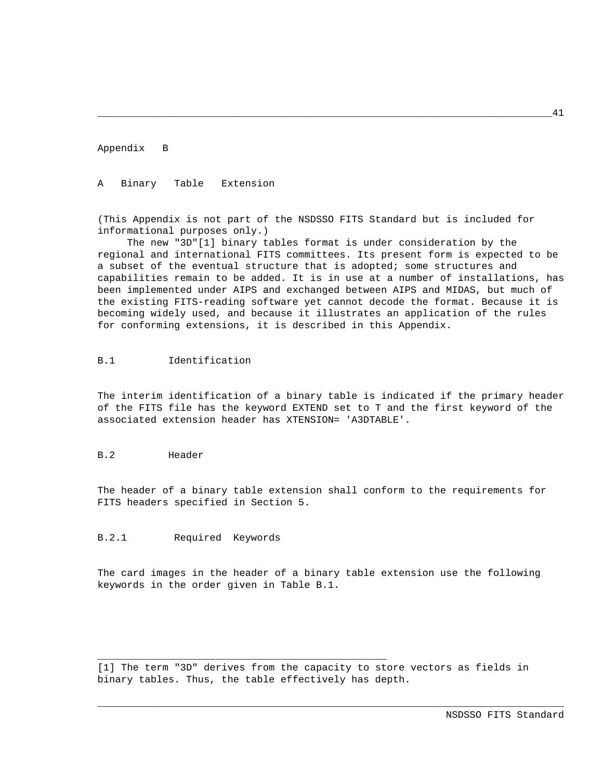Appendix B

A Binary Table Extension

(This Appendix is not part of the NSDSSO FITS Standard but is included for informational purposes only.)

 The new "3D"[1] binary tables format is under consideration by the regional and international FITS committees. Its present form is expected to be a subset of the eventual structure that is adopted; some structures and capabilities remain to be added. It is in use at a number of installations, has been implemented under AIPS and exchanged between AIPS and MIDAS, but much of the existing FITS-reading software yet cannot decode the format. Because it is becoming widely used, and because it illustrates an application of the rules for conforming extensions, it is described in this Appendix.

#### B.1 Identification

The interim identification of a binary table is indicated if the primary header of the FITS file has the keyword EXTEND set to T and the first keyword of the associated extension header has XTENSION= 'A3DTABLE'.

# B.2 Header

The header of a binary table extension shall conform to the requirements for FITS headers specified in Section 5.

## B.2.1 Required Keywords

The card images in the header of a binary table extension use the following keywords in the order given in Table B.1.

 $\_$  , and the set of the set of the set of the set of the set of the set of the set of the set of the set of the set of the set of the set of the set of the set of the set of the set of the set of the set of the set of th

\_\_\_\_\_\_\_\_\_\_\_\_\_\_\_\_\_\_\_\_\_\_\_\_\_\_\_\_\_\_\_\_\_\_\_\_\_\_\_\_\_\_\_\_\_\_\_\_\_

 $\overline{\phantom{a}1}$  and  $\overline{\phantom{a}2}$  and  $\overline{\phantom{a}3}$  and  $\overline{\phantom{a}4}$  and  $\overline{\phantom{a}4}$  and  $\overline{\phantom{a}4}$  and  $\overline{\phantom{a}4}$  and  $\overline{\phantom{a}4}$  and  $\overline{\phantom{a}4}$  and  $\overline{\phantom{a}4}$  and  $\overline{\phantom{a}4}$  and  $\overline{\phantom{a}4}$  and  $\overline{\$ 

<sup>[1]</sup> The term "3D" derives from the capacity to store vectors as fields in binary tables. Thus, the table effectively has depth.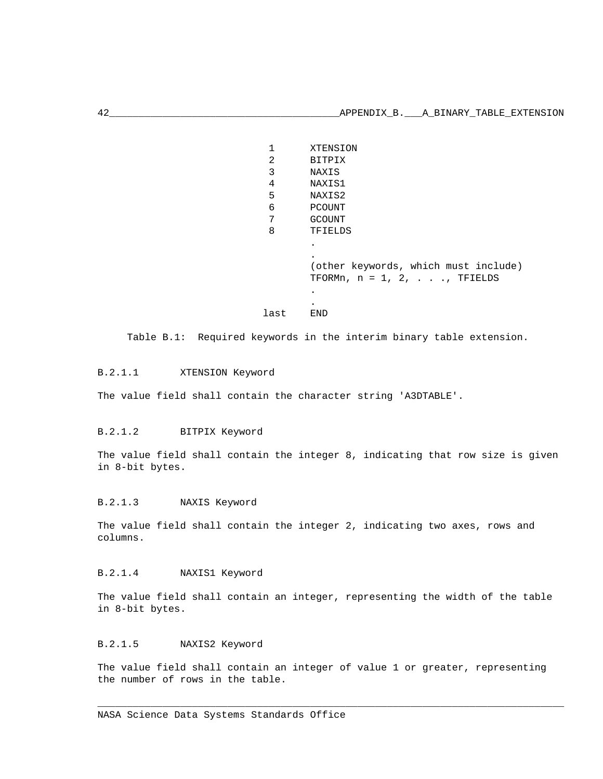```
 1 XTENSION
              2 BITPIX
 3 NAXIS
              4 NAXIS1
              5 NAXIS2
              6 PCOUNT
              7 GCOUNT
              8 TFIELDS
 .
 .
                  (other keywords, which must include)
                 TFORMn, n = 1, 2, \ldots, TFIELDS
 .
 .
              last END
```
Table B.1: Required keywords in the interim binary table extension.

# B.2.1.1 XTENSION Keyword

The value field shall contain the character string 'A3DTABLE'.

#### B.2.1.2 BITPIX Keyword

The value field shall contain the integer 8, indicating that row size is given in 8-bit bytes.

# B.2.1.3 NAXIS Keyword

The value field shall contain the integer 2, indicating two axes, rows and columns.

## B.2.1.4 NAXIS1 Keyword

The value field shall contain an integer, representing the width of the table in 8-bit bytes.

## B.2.1.5 NAXIS2 Keyword

The value field shall contain an integer of value 1 or greater, representing the number of rows in the table.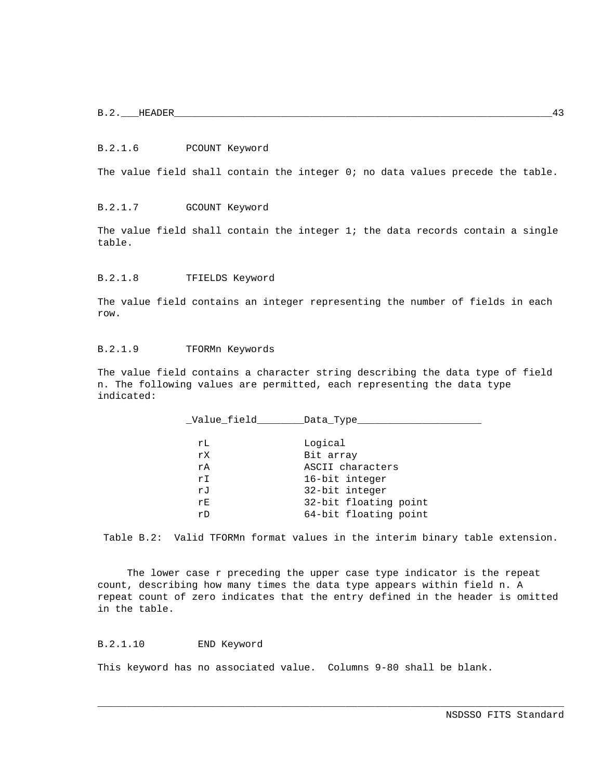#### B.2.1.6 PCOUNT Keyword

The value field shall contain the integer 0; no data values precede the table.

#### B.2.1.7 GCOUNT Keyword

The value field shall contain the integer 1; the data records contain a single table.

#### B.2.1.8 TFIELDS Keyword

The value field contains an integer representing the number of fields in each row.

#### B.2.1.9 TFORMn Keywords

The value field contains a character string describing the data type of field n. The following values are permitted, each representing the data type indicated:

| _Value_field_ | _Data_Type_           |
|---------------|-----------------------|
|               |                       |
| rL            | Logical               |
| rX            | Bit array             |
| rA            | ASCII characters      |
| rI            | 16-bit integer        |
| rJ            | 32-bit integer        |
| rΕ            | 32-bit floating point |
| rD            | 64-bit floating point |

Table B.2: Valid TFORMn format values in the interim binary table extension.

 The lower case r preceding the upper case type indicator is the repeat count, describing how many times the data type appears within field n. A repeat count of zero indicates that the entry defined in the header is omitted in the table.

 $\_$  , and the set of the set of the set of the set of the set of the set of the set of the set of the set of the set of the set of the set of the set of the set of the set of the set of the set of the set of the set of th

# B.2.1.10 END Keyword

This keyword has no associated value. Columns 9-80 shall be blank.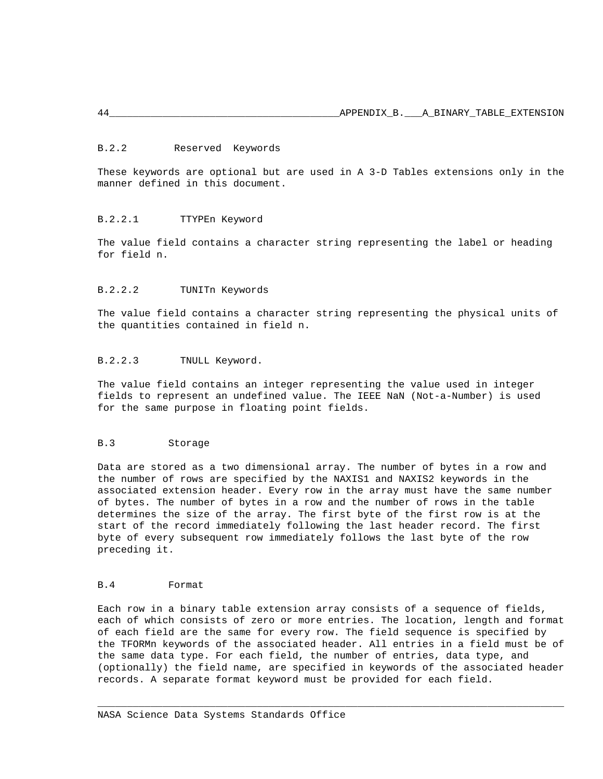#### B.2.2 Reserved Keywords

These keywords are optional but are used in A 3-D Tables extensions only in the manner defined in this document.

#### B.2.2.1 TTYPEn Keyword

The value field contains a character string representing the label or heading for field n.

#### B.2.2.2 TUNITn Keywords

The value field contains a character string representing the physical units of the quantities contained in field n.

## B.2.2.3 TNULL Keyword.

The value field contains an integer representing the value used in integer fields to represent an undefined value. The IEEE NaN (Not-a-Number) is used for the same purpose in floating point fields.

#### B.3 Storage

Data are stored as a two dimensional array. The number of bytes in a row and the number of rows are specified by the NAXIS1 and NAXIS2 keywords in the associated extension header. Every row in the array must have the same number of bytes. The number of bytes in a row and the number of rows in the table determines the size of the array. The first byte of the first row is at the start of the record immediately following the last header record. The first byte of every subsequent row immediately follows the last byte of the row preceding it.

# B.4 Format

Each row in a binary table extension array consists of a sequence of fields, each of which consists of zero or more entries. The location, length and format of each field are the same for every row. The field sequence is specified by the TFORMn keywords of the associated header. All entries in a field must be of the same data type. For each field, the number of entries, data type, and (optionally) the field name, are specified in keywords of the associated header records. A separate format keyword must be provided for each field.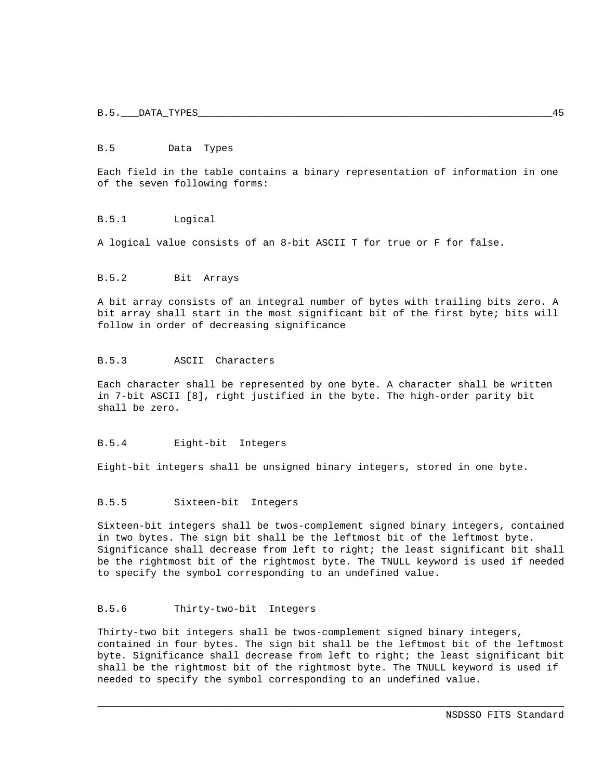#### B.5 Data Types

Each field in the table contains a binary representation of information in one of the seven following forms:

## B.5.1 Logical

A logical value consists of an 8-bit ASCII T for true or F for false.

#### B.5.2 Bit Arrays

A bit array consists of an integral number of bytes with trailing bits zero. A bit array shall start in the most significant bit of the first byte; bits will follow in order of decreasing significance

#### B.5.3 ASCII Characters

Each character shall be represented by one byte. A character shall be written in 7-bit ASCII [8], right justified in the byte. The high-order parity bit shall be zero.

#### B.5.4 Eight-bit Integers

Eight-bit integers shall be unsigned binary integers, stored in one byte.

# B.5.5 Sixteen-bit Integers

Sixteen-bit integers shall be twos-complement signed binary integers, contained in two bytes. The sign bit shall be the leftmost bit of the leftmost byte. Significance shall decrease from left to right; the least significant bit shall be the rightmost bit of the rightmost byte. The TNULL keyword is used if needed to specify the symbol corresponding to an undefined value.

## B.5.6 Thirty-two-bit Integers

Thirty-two bit integers shall be twos-complement signed binary integers, contained in four bytes. The sign bit shall be the leftmost bit of the leftmost byte. Significance shall decrease from left to right; the least significant bit shall be the rightmost bit of the rightmost byte. The TNULL keyword is used if needed to specify the symbol corresponding to an undefined value.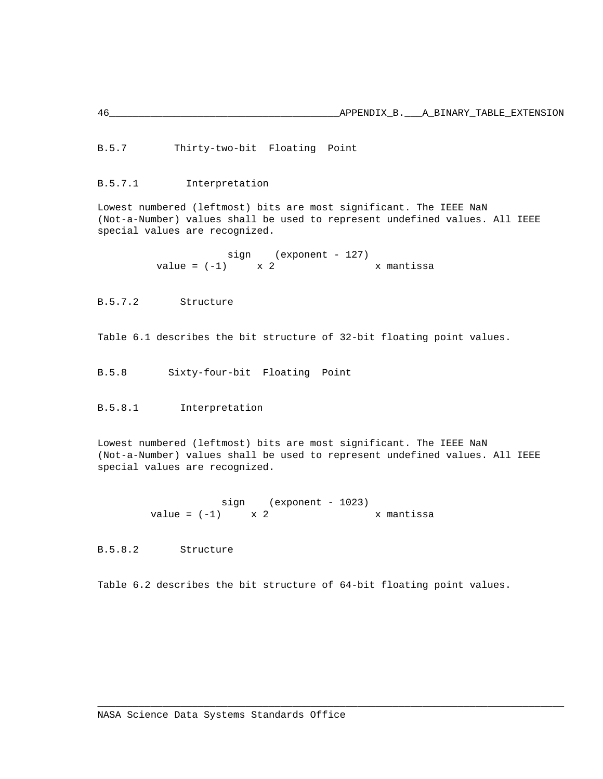B.5.7 Thirty-two-bit Floating Point

#### B.5.7.1 Interpretation

Lowest numbered (leftmost) bits are most significant. The IEEE NaN (Not-a-Number) values shall be used to represent undefined values. All IEEE special values are recognized.

> sign (exponent - 127) value =  $(-1)$  x 2 x mantissa

B.5.7.2 Structure

Table 6.1 describes the bit structure of 32-bit floating point values.

B.5.8 Sixty-four-bit Floating Point

## B.5.8.1 Interpretation

Lowest numbered (leftmost) bits are most significant. The IEEE NaN (Not-a-Number) values shall be used to represent undefined values. All IEEE special values are recognized.

> sign (exponent - 1023) value =  $(-1)$  x 2 x mantissa

B.5.8.2 Structure

Table 6.2 describes the bit structure of 64-bit floating point values.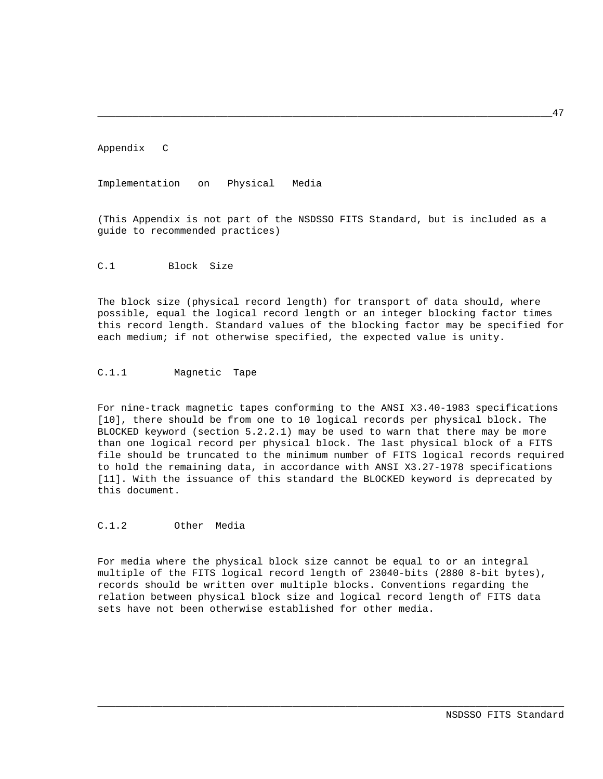Appendix C

Implementation on Physical Media

(This Appendix is not part of the NSDSSO FITS Standard, but is included as a guide to recommended practices)

C.1 Block Size

The block size (physical record length) for transport of data should, where possible, equal the logical record length or an integer blocking factor times this record length. Standard values of the blocking factor may be specified for each medium; if not otherwise specified, the expected value is unity.

# C.1.1 Magnetic Tape

For nine-track magnetic tapes conforming to the ANSI X3.40-1983 specifications [10], there should be from one to 10 logical records per physical block. The BLOCKED keyword (section 5.2.2.1) may be used to warn that there may be more than one logical record per physical block. The last physical block of a FITS file should be truncated to the minimum number of FITS logical records required to hold the remaining data, in accordance with ANSI X3.27-1978 specifications [11]. With the issuance of this standard the BLOCKED keyword is deprecated by this document.

C.1.2 Other Media

For media where the physical block size cannot be equal to or an integral multiple of the FITS logical record length of 23040-bits (2880 8-bit bytes), records should be written over multiple blocks. Conventions regarding the relation between physical block size and logical record length of FITS data sets have not been otherwise established for other media.

 $\_$  , and the set of the set of the set of the set of the set of the set of the set of the set of the set of the set of the set of the set of the set of the set of the set of the set of the set of the set of the set of th

\_\_\_\_\_\_\_\_\_\_\_\_\_\_\_\_\_\_\_\_\_\_\_\_\_\_\_\_\_\_\_\_\_\_\_\_\_\_\_\_\_\_\_\_\_\_\_\_\_\_\_\_\_\_\_\_\_\_\_\_\_\_\_\_\_\_\_\_\_\_\_\_\_\_\_\_\_47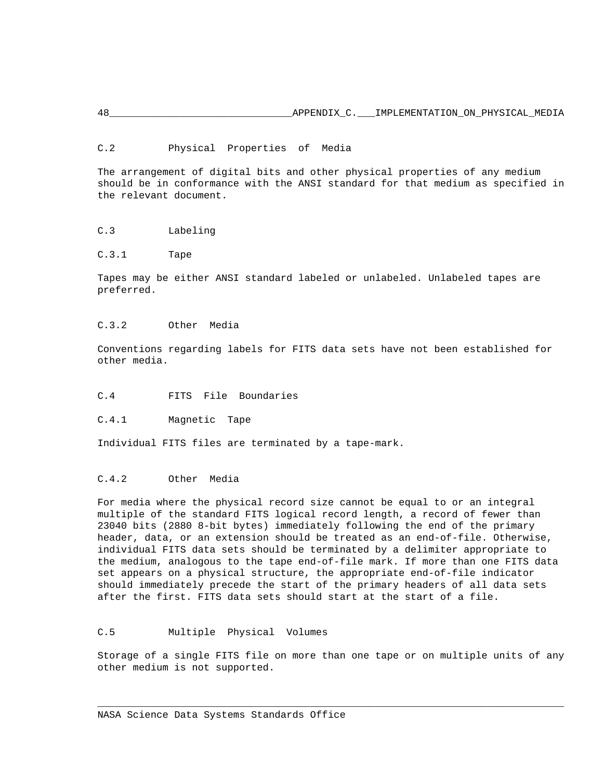#### C.2 Physical Properties of Media

The arrangement of digital bits and other physical properties of any medium should be in conformance with the ANSI standard for that medium as specified in the relevant document.

- C.3 Labeling
- C.3.1 Tape

Tapes may be either ANSI standard labeled or unlabeled. Unlabeled tapes are preferred.

#### C.3.2 Other Media

Conventions regarding labels for FITS data sets have not been established for other media.

C.4 FITS File Boundaries

C.4.1 Magnetic Tape

Individual FITS files are terminated by a tape-mark.

#### C.4.2 Other Media

For media where the physical record size cannot be equal to or an integral multiple of the standard FITS logical record length, a record of fewer than 23040 bits (2880 8-bit bytes) immediately following the end of the primary header, data, or an extension should be treated as an end-of-file. Otherwise, individual FITS data sets should be terminated by a delimiter appropriate to the medium, analogous to the tape end-of-file mark. If more than one FITS data set appears on a physical structure, the appropriate end-of-file indicator should immediately precede the start of the primary headers of all data sets after the first. FITS data sets should start at the start of a file.

# C.5 Multiple Physical Volumes

Storage of a single FITS file on more than one tape or on multiple units of any other medium is not supported.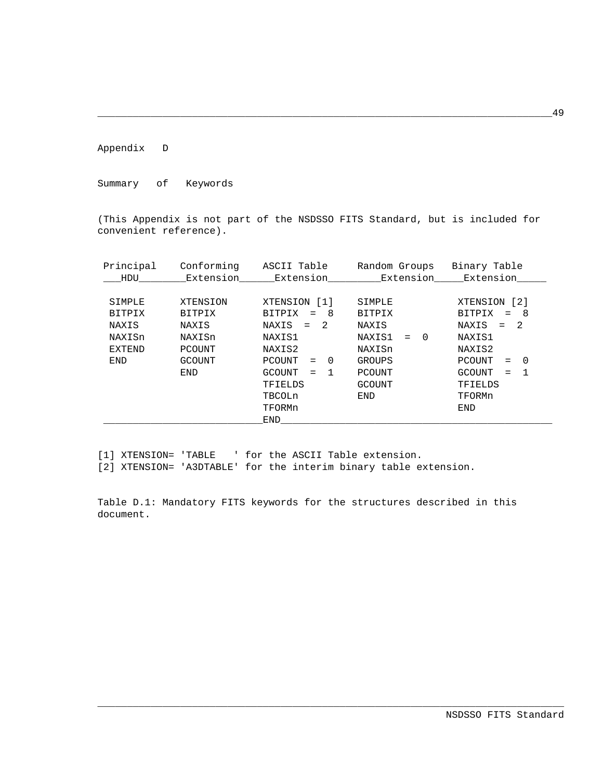Appendix D

Summary of Keywords

(This Appendix is not part of the NSDSSO FITS Standard, but is included for convenient reference).

| Principal     | Conforming    | ASCII Table                      | Random Groups             | Binary Table                |
|---------------|---------------|----------------------------------|---------------------------|-----------------------------|
| HDU           | Extension     | Extension                        | Extension                 | Extension                   |
|               |               |                                  |                           |                             |
| SIMPLE        | XTENSION      | XTENSION [1]                     | SIMPLE                    | XTENSION [2]                |
| <b>BITPIX</b> | <b>BITPIX</b> | - 8<br><b>BITPIX</b><br>$=$      | <b>BITPIX</b>             | - 8<br><b>BITPIX</b><br>$=$ |
| NAXIS         | NAXIS         | $\overline{2}$<br>NAXIS<br>$=$   | NAXIS                     | -2<br>NAXIS<br>$=$          |
| NAXISn        | NAXISn        | NAXIS1                           | NAXIS1<br>$\Omega$<br>$=$ | NAXIS1                      |
| <b>EXTEND</b> | PCOUNT        | NAXIS2                           | NAXISn                    | NAXIS2                      |
| END           | GCOUNT        | $\Omega$<br><b>PCOUNT</b><br>$=$ | GROUPS                    | <b>PCOUNT</b><br>0<br>$=$   |
|               | <b>END</b>    | 1<br>GCOUNT<br>$=$               | PCOUNT                    | 1<br>GCOUNT<br>$=$          |
|               |               | TFIELDS                          | <b>GCOUNT</b>             | TFIELDS                     |
|               |               | TBCOLn                           | END                       | TFORMn                      |
|               |               | TFORMn                           |                           | <b>END</b>                  |
|               |               | END                              |                           |                             |

[1] XTENSION= 'TABLE ' for the ASCII Table extension.

[2] XTENSION= 'A3DTABLE' for the interim binary table extension.

Table D.1: Mandatory FITS keywords for the structures described in this document.

 $\_$  , and the set of the set of the set of the set of the set of the set of the set of the set of the set of the set of the set of the set of the set of the set of the set of the set of the set of the set of the set of th

 $\mathcal{L} = 49$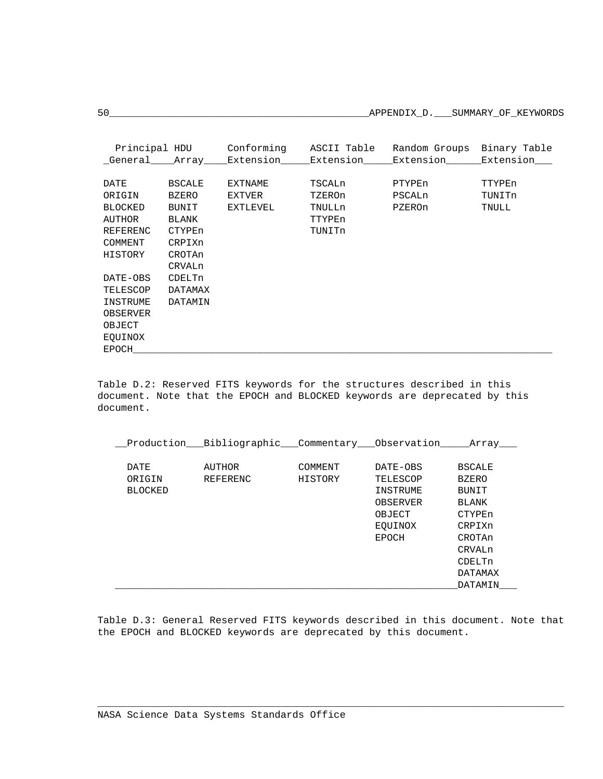| Principal HDU  |               | Conforming    | ASCII Table | Random Groups | Binary Table |
|----------------|---------------|---------------|-------------|---------------|--------------|
| General        | Array         | Extension     | Extension   | Extension     | Extension    |
|                |               |               |             |               |              |
| DATE           | <b>BSCALE</b> | EXTNAME       | TSCALn      | PTYPEn        | TTYPEn       |
| ORIGIN         | <b>BZERO</b>  | <b>EXTVER</b> | TZEROn      | PSCALn        | TUNITn       |
| <b>BLOCKED</b> | BUNIT         | EXTLEVEL      | TNULLn      | PZEROn        | TNULL        |
| AUTHOR         | BLANK         |               | TTYPEn      |               |              |
| REFERENC       | CTYPEn        |               | TUNITn      |               |              |
| COMMENT        | CRPIXn        |               |             |               |              |
| HISTORY        | CROTAn        |               |             |               |              |
|                | CRVALn        |               |             |               |              |
| DATE-OBS       | CDELTn        |               |             |               |              |
| TELESCOP       | DATAMAX       |               |             |               |              |
| INSTRUME       | DATAMIN       |               |             |               |              |
| OBSERVER       |               |               |             |               |              |
| OBJECT         |               |               |             |               |              |
| EQUINOX        |               |               |             |               |              |
| <b>EPOCH</b>   |               |               |             |               |              |

Table D.2: Reserved FITS keywords for the structures described in this document. Note that the EPOCH and BLOCKED keywords are deprecated by this document.

|                                  | Production___Bibliographic___Commentary___Observation_ |                    |                                                                                   | Array                                                                                                                   |
|----------------------------------|--------------------------------------------------------|--------------------|-----------------------------------------------------------------------------------|-------------------------------------------------------------------------------------------------------------------------|
| DATE<br>ORIGIN<br><b>BLOCKED</b> | AUTHOR<br>REFERENC                                     | COMMENT<br>HISTORY | DATE-OBS<br>TELESCOP<br>INSTRUME<br>OBSERVER<br>OBJECT<br>EOUINOX<br><b>EPOCH</b> | <b>BSCALE</b><br>BZERO<br><b>BUNIT</b><br>BLANK<br>CTYPEn<br>CRPIXn<br>CROTAn<br>CRVALn<br>CDELTn<br>DATAMAX<br>DATAMIN |
|                                  |                                                        |                    |                                                                                   |                                                                                                                         |

Table D.3: General Reserved FITS keywords described in this document. Note that the EPOCH and BLOCKED keywords are deprecated by this document.